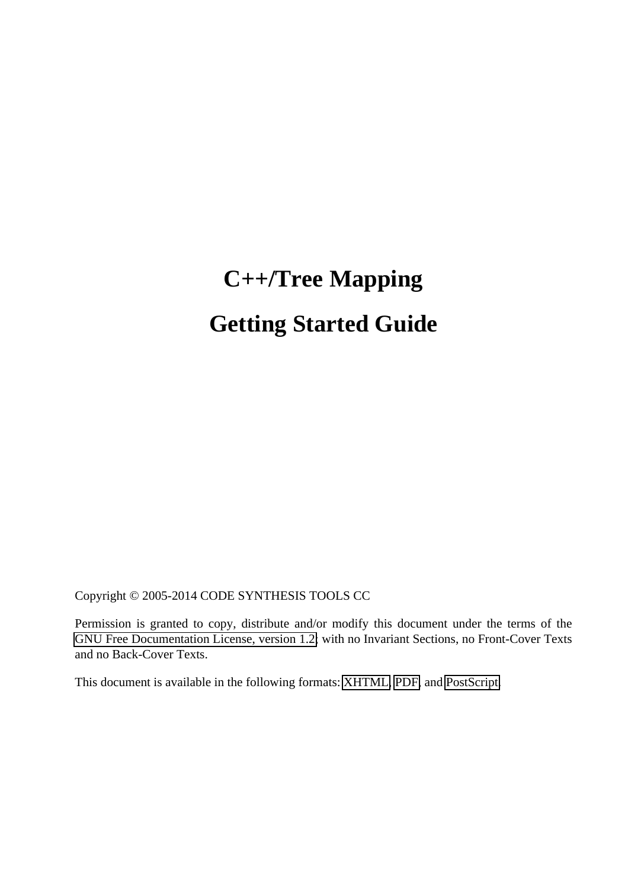# **C++/Tree Mapping Getting Started Guide**

Copyright © 2005-2014 CODE SYNTHESIS TOOLS CC

Permission is granted to copy, distribute and/or modify this document under the terms of the [GNU Free Documentation License, version 1.2;](http://www.codesynthesis.com/licenses/fdl-1.2.txt) with no Invariant Sections, no Front-Cover Texts and no Back-Cover Texts.

This document is available in the following formats: [XHTML,](http://www.codesynthesis.com/projects/xsd/documentation/cxx/tree/manual/) [PDF,](http://wiki.codesynthesis.com/Tree/Customization_guide) and [PostScript.](http://wiki.codesynthesis.com/Tree/FAQ)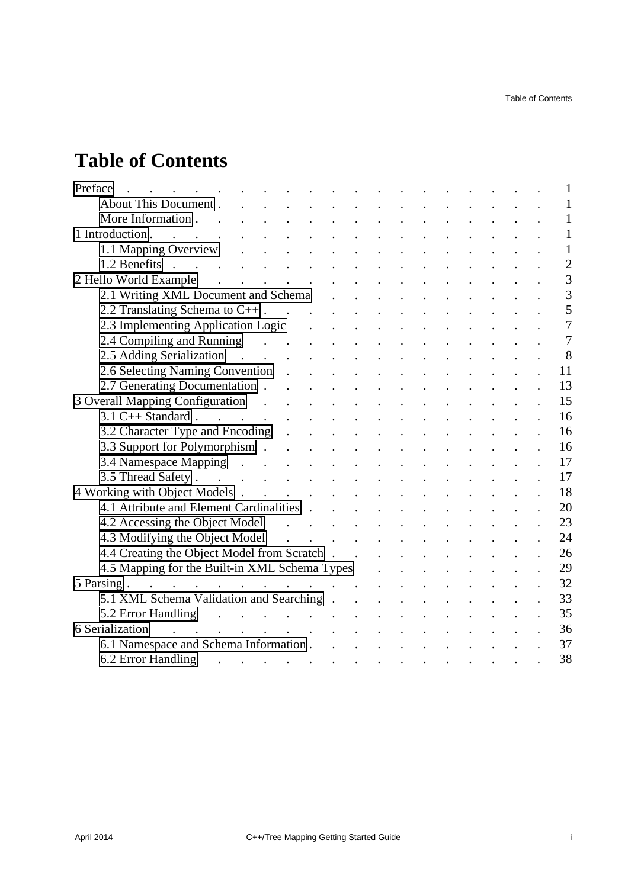## **Table of Contents**

| Preface                                                                                                                                                                                                                                                                                                                                                                                                                                                                   |  |  |  |  |  | 1              |
|---------------------------------------------------------------------------------------------------------------------------------------------------------------------------------------------------------------------------------------------------------------------------------------------------------------------------------------------------------------------------------------------------------------------------------------------------------------------------|--|--|--|--|--|----------------|
| About This Document.                                                                                                                                                                                                                                                                                                                                                                                                                                                      |  |  |  |  |  | $\mathbf{1}$   |
| More Information<br>and the contract of the contract of the contract of the contract of the contract of the contract of the contract of                                                                                                                                                                                                                                                                                                                                   |  |  |  |  |  | $\mathbf{1}$   |
| $\mathcal{A}^{\mathcal{A}}$ . The set of the set of the set of the set of the set of the set of the set of the set of the set of the set of the set of the set of the set of the set of the set of the set of the set of the set of the s<br>1 Introduction.                                                                                                                                                                                                              |  |  |  |  |  | $\mathbf{1}$   |
|                                                                                                                                                                                                                                                                                                                                                                                                                                                                           |  |  |  |  |  | $\mathbf{1}$   |
| $1.2$ Benefits                                                                                                                                                                                                                                                                                                                                                                                                                                                            |  |  |  |  |  | $\overline{c}$ |
| $\mathcal{L}^{\mathcal{A}}$ . The set of the set of the set of the set of $\mathcal{A}$<br>2 Hello World Example                                                                                                                                                                                                                                                                                                                                                          |  |  |  |  |  | $\overline{3}$ |
|                                                                                                                                                                                                                                                                                                                                                                                                                                                                           |  |  |  |  |  | $\overline{3}$ |
| 2.2 Translating Schema to $C++$ .                                                                                                                                                                                                                                                                                                                                                                                                                                         |  |  |  |  |  | 5              |
| 2.3 Implementing Application Logic (2.3 Implementing Application Logic                                                                                                                                                                                                                                                                                                                                                                                                    |  |  |  |  |  | $\overline{7}$ |
| 2.4 Compiling and Running (a) and the contract of the contract of the contract of the contract of the contract of the contract of the contract of the contract of the contract of the contract of the contract of the contract                                                                                                                                                                                                                                            |  |  |  |  |  | $\overline{7}$ |
| 2.5 Adding Serialization                                                                                                                                                                                                                                                                                                                                                                                                                                                  |  |  |  |  |  | 8              |
|                                                                                                                                                                                                                                                                                                                                                                                                                                                                           |  |  |  |  |  | 11             |
| 2.7 Generating Documentation                                                                                                                                                                                                                                                                                                                                                                                                                                              |  |  |  |  |  | 13             |
| 3 Overall Mapping Configuration                                                                                                                                                                                                                                                                                                                                                                                                                                           |  |  |  |  |  | 15             |
| $3.1 \text{ C++ Standard}$ .                                                                                                                                                                                                                                                                                                                                                                                                                                              |  |  |  |  |  | 16             |
| 3.2 Character Type and Encoding                                                                                                                                                                                                                                                                                                                                                                                                                                           |  |  |  |  |  | 16             |
| 3.3 Support for Polymorphism                                                                                                                                                                                                                                                                                                                                                                                                                                              |  |  |  |  |  | 16             |
| 3.4 Namespace Mapping                                                                                                                                                                                                                                                                                                                                                                                                                                                     |  |  |  |  |  | 17             |
|                                                                                                                                                                                                                                                                                                                                                                                                                                                                           |  |  |  |  |  | 17             |
| 4 Working with Object Models                                                                                                                                                                                                                                                                                                                                                                                                                                              |  |  |  |  |  | 18             |
| 4.1 Attribute and Element Cardinalities                                                                                                                                                                                                                                                                                                                                                                                                                                   |  |  |  |  |  | 20             |
| 4.2 Accessing the Object Model (a) a contract to the contract of the Object Model (a) a contract of the contract of the contract of the contract of the contract of the contract of the contract of the contract of the contra                                                                                                                                                                                                                                            |  |  |  |  |  | 23             |
|                                                                                                                                                                                                                                                                                                                                                                                                                                                                           |  |  |  |  |  | 24             |
| 4.3 Modifying the Object Model<br>4.4 Creating the Object Model from Scratch<br>4.4 Creating the Object Model from Scratch                                                                                                                                                                                                                                                                                                                                                |  |  |  |  |  | 26             |
| 4.5 Mapping for the Built-in XML Schema Types                                                                                                                                                                                                                                                                                                                                                                                                                             |  |  |  |  |  | 29             |
| $\mathcal{L}(\mathcal{L}(\mathcal{L}(\mathcal{L}(\mathcal{L}(\mathcal{L}(\mathcal{L}(\mathcal{L}(\mathcal{L}(\mathcal{L}(\mathcal{L}(\mathcal{L}(\mathcal{L}(\mathcal{L}(\mathcal{L}(\mathcal{L}(\mathcal{L}(\mathcal{L}(\mathcal{L}(\mathcal{L}(\mathcal{L}(\mathcal{L}(\mathcal{L}(\mathcal{L}(\mathcal{L}(\mathcal{L}(\mathcal{L}(\mathcal{L}(\mathcal{L}(\mathcal{L}(\mathcal{L}(\mathcal{L}(\mathcal{L}(\mathcal{L}(\mathcal{L}(\mathcal{L}(\mathcal{$<br>5 Parsing. |  |  |  |  |  | 32             |
| 5.1 XML Schema Validation and Searching                                                                                                                                                                                                                                                                                                                                                                                                                                   |  |  |  |  |  | 33             |
| 5.2 Error Handling                                                                                                                                                                                                                                                                                                                                                                                                                                                        |  |  |  |  |  | 35             |
| $\mathcal{L}^{\mathcal{A}}$ . The contribution of the contribution of the contribution of<br>6 Serialization                                                                                                                                                                                                                                                                                                                                                              |  |  |  |  |  | 36             |
| 6.1 Namespace and Schema Information                                                                                                                                                                                                                                                                                                                                                                                                                                      |  |  |  |  |  | 37             |
| 6.2 Error Handling<br>$\mathcal{L}(\mathcal{A})$ . The $\mathcal{L}(\mathcal{A})$                                                                                                                                                                                                                                                                                                                                                                                         |  |  |  |  |  | 38             |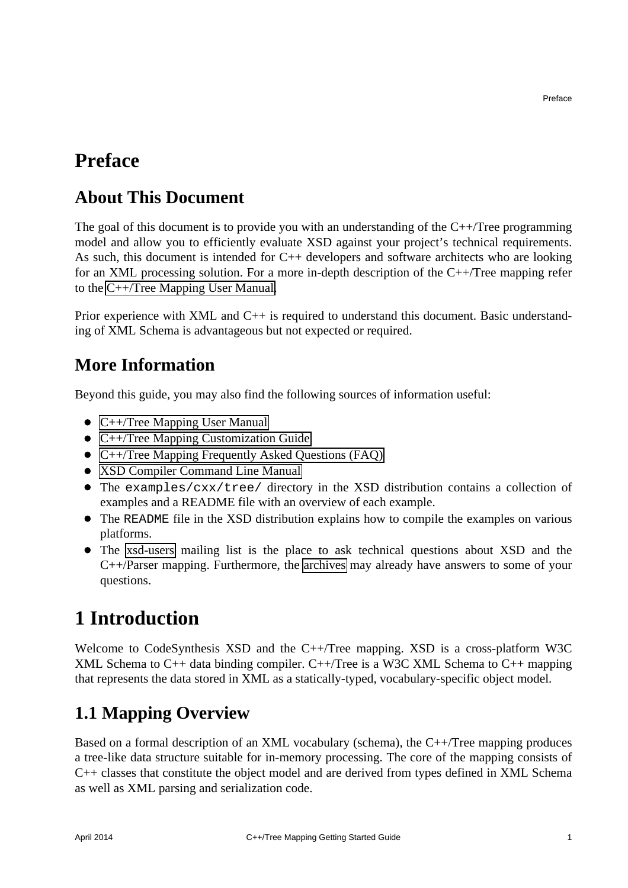## <span id="page-4-0"></span>**Preface**

#### <span id="page-4-1"></span>**About This Document**

The goal of this document is to provide you with an understanding of the  $C++/T$ ree programming model and allow you to efficiently evaluate XSD against your project's technical requirements. As such, this document is intended for C++ developers and software architects who are looking for an XML processing solution. For a more in-depth description of the C++/Tree mapping refer to the [C++/Tree Mapping User Manual.](http://www.codesynthesis.com/projects/xsd/documentation/cxx/tree/manual/)

Prior experience with XML and C++ is required to understand this document. Basic understanding of XML Schema is advantageous but not expected or required.

#### <span id="page-4-2"></span>**More Information**

Beyond this guide, you may also find the following sources of information useful:

- C++/Tree Mapping User Manual
- C++/Tree Mapping Customization Guide
- [C++/Tree Mapping Frequently Asked Questions \(FAQ\)](http://wiki.codesynthesis.com/Tree/FAQ)
- [XSD Compiler Command Line Manual](http://www.codesynthesis.com/projects/xsd/documentation/xsd.xhtml)
- The examples/cxx/tree/ directory in the XSD distribution contains a collection of examples and a README file with an overview of each example.
- The README file in the XSD distribution explains how to compile the examples on various platforms.
- The [xsd-users](http://www.codesynthesis.com/mailman/listinfo/xsd-users) mailing list is the place to ask technical questions about XSD and the C++/Parser mapping. Furthermore, the [archives](http://www.codesynthesis.com/pipermail/xsd-users/) may already have answers to some of your questions.

## <span id="page-4-3"></span>**1 Introduction**

Welcome to CodeSynthesis XSD and the C++/Tree mapping. XSD is a cross-platform W3C XML Schema to C++ data binding compiler. C++/Tree is a W3C XML Schema to C++ mapping that represents the data stored in XML as a statically-typed, vocabulary-specific object model.

## <span id="page-4-4"></span>**1.1 Mapping Overview**

Based on a formal description of an XML vocabulary (schema), the C++/Tree mapping produces a tree-like data structure suitable for in-memory processing. The core of the mapping consists of C++ classes that constitute the object model and are derived from types defined in XML Schema as well as XML parsing and serialization code.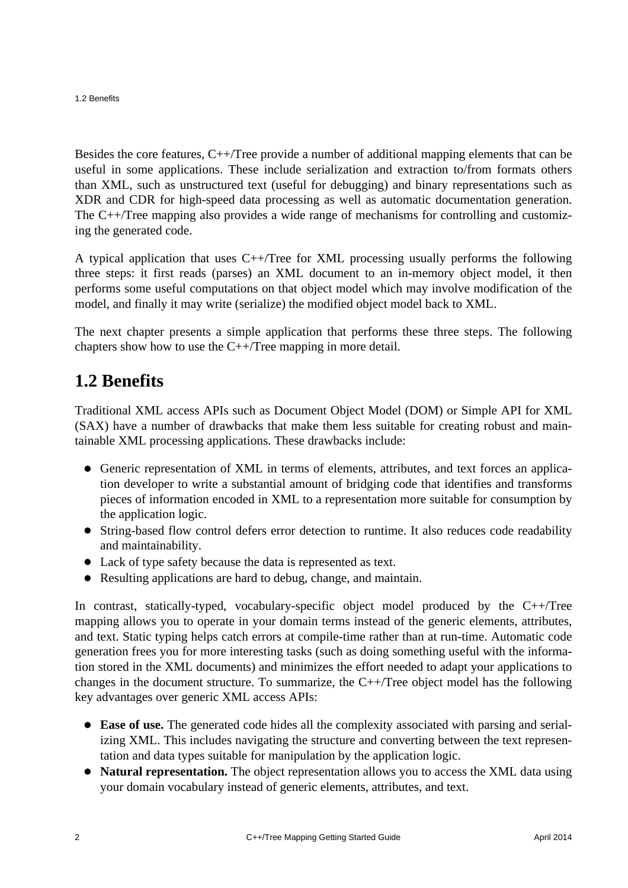1.2 Benefits

Besides the core features, C++/Tree provide a number of additional mapping elements that can be useful in some applications. These include serialization and extraction to/from formats others than XML, such as unstructured text (useful for debugging) and binary representations such as XDR and CDR for high-speed data processing as well as automatic documentation generation. The C++/Tree mapping also provides a wide range of mechanisms for controlling and customizing the generated code.

A typical application that uses C++/Tree for XML processing usually performs the following three steps: it first reads (parses) an XML document to an in-memory object model, it then performs some useful computations on that object model which may involve modification of the model, and finally it may write (serialize) the modified object model back to XML.

The next chapter presents a simple application that performs these three steps. The following chapters show how to use the C++/Tree mapping in more detail.

#### <span id="page-5-0"></span>**1.2 Benefits**

Traditional XML access APIs such as Document Object Model (DOM) or Simple API for XML (SAX) have a number of drawbacks that make them less suitable for creating robust and maintainable XML processing applications. These drawbacks include:

- Generic representation of XML in terms of elements, attributes, and text forces an application developer to write a substantial amount of bridging code that identifies and transforms pieces of information encoded in XML to a representation more suitable for consumption by the application logic.
- String-based flow control defers error detection to runtime. It also reduces code readability and maintainability.
- Lack of type safety because the data is represented as text.
- Resulting applications are hard to debug, change, and maintain.

In contrast, statically-typed, vocabulary-specific object model produced by the C++/Tree mapping allows you to operate in your domain terms instead of the generic elements, attributes, and text. Static typing helps catch errors at compile-time rather than at run-time. Automatic code generation frees you for more interesting tasks (such as doing something useful with the information stored in the XML documents) and minimizes the effort needed to adapt your applications to changes in the document structure. To summarize, the C++/Tree object model has the following key advantages over generic XML access APIs:

- **Ease of use.** The generated code hides all the complexity associated with parsing and serializing XML. This includes navigating the structure and converting between the text representation and data types suitable for manipulation by the application logic.
- **Natural representation.** The object representation allows you to access the XML data using your domain vocabulary instead of generic elements, attributes, and text.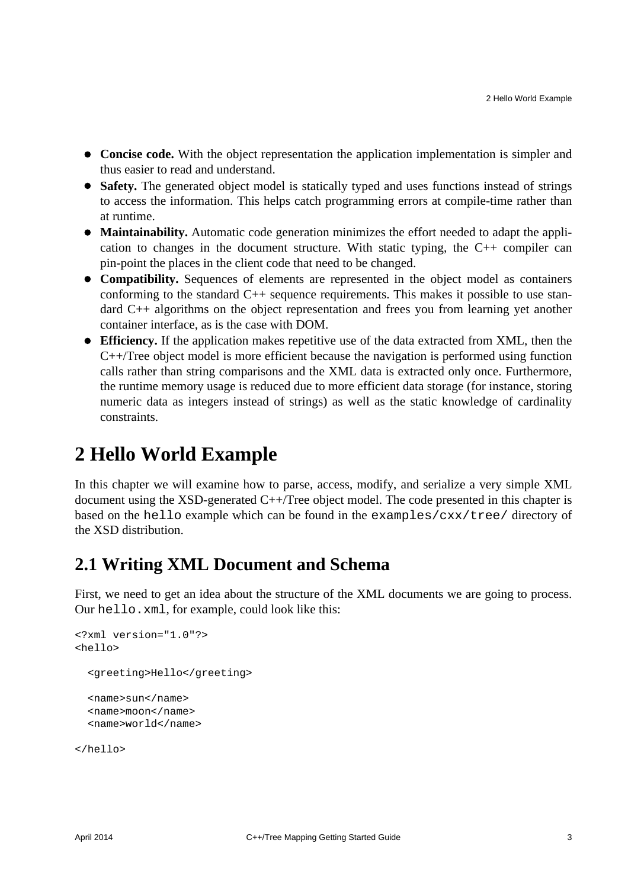- **Concise code.** With the object representation the application implementation is simpler and thus easier to read and understand.
- Safety. The generated object model is statically typed and uses functions instead of strings to access the information. This helps catch programming errors at compile-time rather than at runtime.
- **Maintainability.** Automatic code generation minimizes the effort needed to adapt the application to changes in the document structure. With static typing, the C++ compiler can pin-point the places in the client code that need to be changed.
- **Compatibility.** Sequences of elements are represented in the object model as containers conforming to the standard  $C_{++}$  sequence requirements. This makes it possible to use standard C++ algorithms on the object representation and frees you from learning yet another container interface, as is the case with DOM.
- **Efficiency.** If the application makes repetitive use of the data extracted from XML, then the C++/Tree object model is more efficient because the navigation is performed using function calls rather than string comparisons and the XML data is extracted only once. Furthermore, the runtime memory usage is reduced due to more efficient data storage (for instance, storing numeric data as integers instead of strings) as well as the static knowledge of cardinality constraints.

## <span id="page-6-0"></span>**2 Hello World Example**

In this chapter we will examine how to parse, access, modify, and serialize a very simple XML document using the XSD-generated C++/Tree object model. The code presented in this chapter is based on the hello example which can be found in the examples/cxx/tree/ directory of the XSD distribution.

#### <span id="page-6-1"></span>**2.1 Writing XML Document and Schema**

First, we need to get an idea about the structure of the XML documents we are going to process. Our hello.xml, for example, could look like this:

```
<?xml version="1.0"?>
<hello>
   <greeting>Hello</greeting>
   <name>sun</name>
   <name>moon</name>
   <name>world</name>
```
</hello>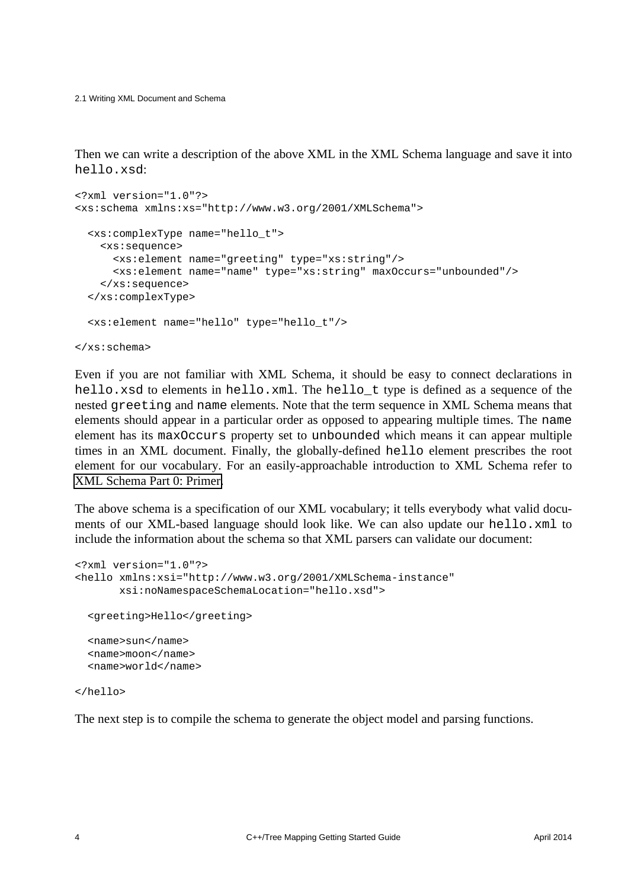2.1 Writing XML Document and Schema

Then we can write a description of the above XML in the XML Schema language and save it into hello.xsd:

```
<?xml version="1.0"?>
<xs:schema xmlns:xs="http://www.w3.org/2001/XMLSchema">
   <xs:complexType name="hello_t">
     <xs:sequence>
       <xs:element name="greeting" type="xs:string"/>
       <xs:element name="name" type="xs:string" maxOccurs="unbounded"/>
     </xs:sequence>
   </xs:complexType>
   <xs:element name="hello" type="hello_t"/>
</xs:schema>
```
Even if you are not familiar with XML Schema, it should be easy to connect declarations in hello.xsd to elements in hello.xml. The hello  $t$  type is defined as a sequence of the nested greeting and name elements. Note that the term sequence in XML Schema means that elements should appear in a particular order as opposed to appearing multiple times. The name element has its maxOccurs property set to unbounded which means it can appear multiple times in an XML document. Finally, the globally-defined hello element prescribes the root element for our vocabulary. For an easily-approachable introduction to XML Schema refer to [XML Schema Part 0: Primer.](http://www.w3.org/TR/xmlschema-0/)

The above schema is a specification of our XML vocabulary; it tells everybody what valid documents of our XML-based language should look like. We can also update our hello.xml to include the information about the schema so that XML parsers can validate our document:

```
<?xml version="1.0"?>
<hello xmlns:xsi="http://www.w3.org/2001/XMLSchema-instance"
        xsi:noNamespaceSchemaLocation="hello.xsd">
  <greeting>Hello</greeting>
  <name>sun</name>
  <name>moon</name>
  <name>world</name>
```
</hello>

The next step is to compile the schema to generate the object model and parsing functions.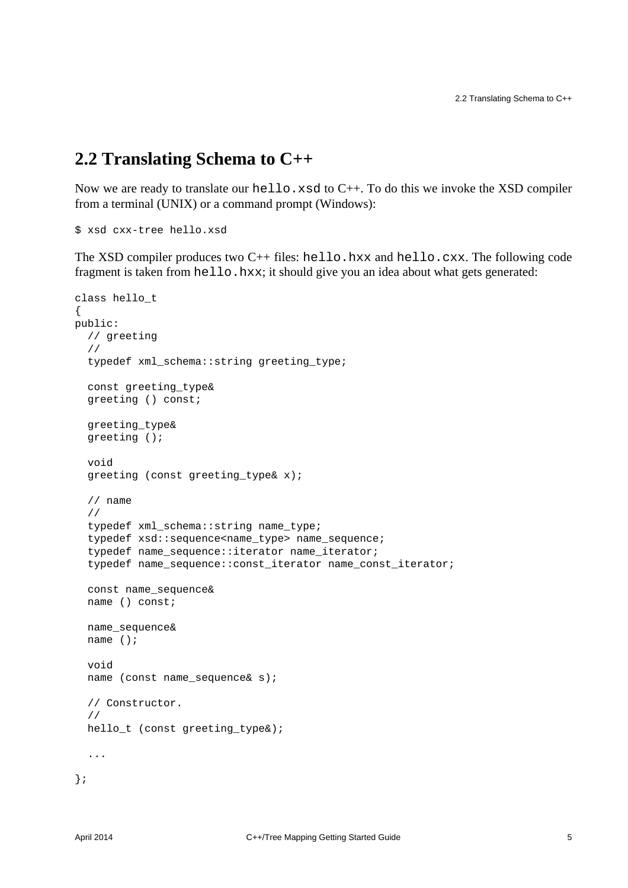#### <span id="page-8-0"></span>**2.2 Translating Schema to C++**

Now we are ready to translate our hello.xsd to C++. To do this we invoke the XSD compiler from a terminal (UNIX) or a command prompt (Windows):

```
$ xsd cxx-tree hello.xsd
```
The XSD compiler produces two  $C_{++}$  files: hello.hxx and hello.cxx. The following code fragment is taken from hello.hxx; it should give you an idea about what gets generated:

```
class hello_t
{
public:
   // greeting
   //
   typedef xml_schema::string greeting_type;
   const greeting_type&
   greeting () const;
   greeting_type&
   greeting ();
   void
   greeting (const greeting_type& x);
   // name
   //
  typedef xml schema::string name type;
   typedef xsd::sequence<name_type> name_sequence;
   typedef name_sequence::iterator name_iterator;
   typedef name_sequence::const_iterator name_const_iterator;
   const name_sequence&
   name () const;
   name_sequence&
   name ();
   void
   name (const name_sequence& s);
   // Constructor.
   //
   hello_t (const greeting_type&);
   ...
};
```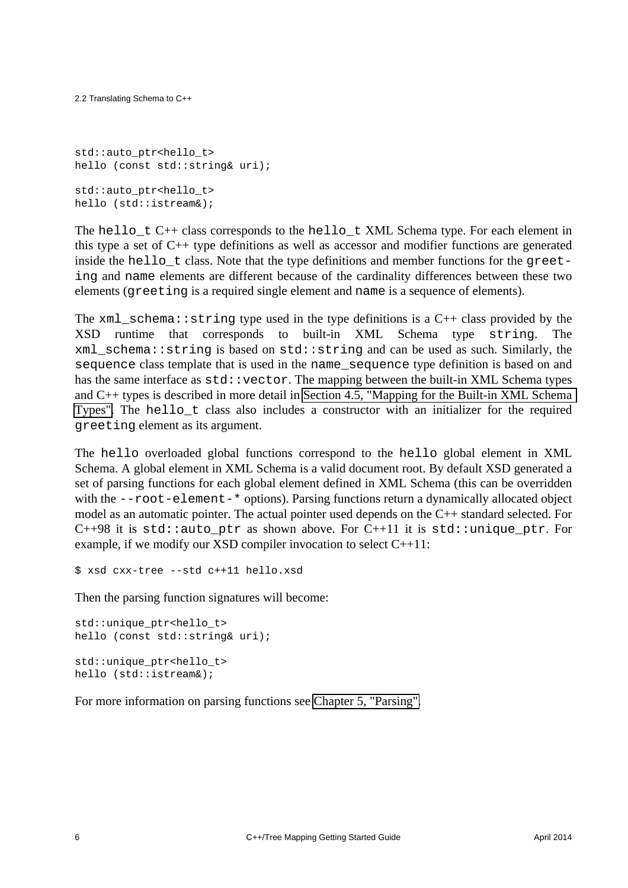```
std::auto ptr<hello t>
hello (const std::string& uri);
std::auto ptr<hello t>
hello (std::istream&);
```
The hello\_t C++ class corresponds to the hello\_t XML Schema type. For each element in this type a set of C++ type definitions as well as accessor and modifier functions are generated inside the hello  $\pm$  class. Note that the type definitions and member functions for the greeting and name elements are different because of the cardinality differences between these two elements (greeting is a required single element and name is a sequence of elements).

The  $xml\_schema::string$  type used in the type definitions is a C++ class provided by the XSD runtime that corresponds to built-in XML Schema type string. The xml\_schema::string is based on std::string and can be used as such. Similarly, the sequence class template that is used in the name\_sequence type definition is based on and has the same interface as  $std:vector$ . The mapping between the built-in XML Schema types and C++ types is described in more detail in [Section 4.5, "Mapping for the Built-in XML Schema](#page-32-0)  [Types".](#page-32-0) The hello t class also includes a constructor with an initializer for the required greeting element as its argument.

The hello overloaded global functions correspond to the hello global element in XML Schema. A global element in XML Schema is a valid document root. By default XSD generated a set of parsing functions for each global element defined in XML Schema (this can be overridden with the  $--root$ -element-\* options). Parsing functions return a dynamically allocated object model as an automatic pointer. The actual pointer used depends on the C++ standard selected. For C++98 it is std::auto ptr as shown above. For C++11 it is std::unique ptr. For example, if we modify our XSD compiler invocation to select C++11:

\$ xsd cxx-tree --std c++11 hello.xsd

Then the parsing function signatures will become:

```
std::unique_ptr<hello_t>
hello (const std::string& uri);
std::unique_ptr<hello_t>
hello (std::istream&);
```
For more information on parsing functions see [Chapter 5, "Parsing".](#page-35-0)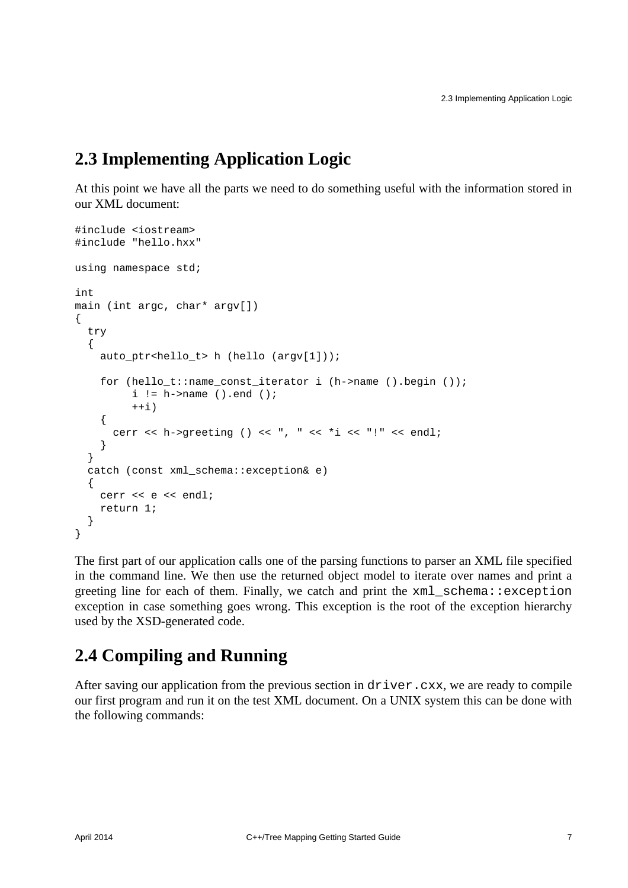## <span id="page-10-0"></span>**2.3 Implementing Application Logic**

At this point we have all the parts we need to do something useful with the information stored in our XML document:

```
#include <iostream>
#include "hello.hxx"
using namespace std;
int
main (int argc, char* argv[])
{
   try
   {
     auto_ptr<hello_t> h (hello (argv[1]));
     for (hello_t::name_const_iterator i (h->name ().begin ());
         i := h->name ().end ();
         ++i) {
       cerr << h->greeting () << ", " << *i << "!" << endl;
     }
   }
   catch (const xml_schema::exception& e)
   {
    cerr << e << endl;
     return 1;
   }
}
```
The first part of our application calls one of the parsing functions to parser an XML file specified in the command line. We then use the returned object model to iterate over names and print a greeting line for each of them. Finally, we catch and print the xml\_schema::exception exception in case something goes wrong. This exception is the root of the exception hierarchy used by the XSD-generated code.

## <span id="page-10-1"></span>**2.4 Compiling and Running**

After saving our application from the previous section in driver.cxx, we are ready to compile our first program and run it on the test XML document. On a UNIX system this can be done with the following commands: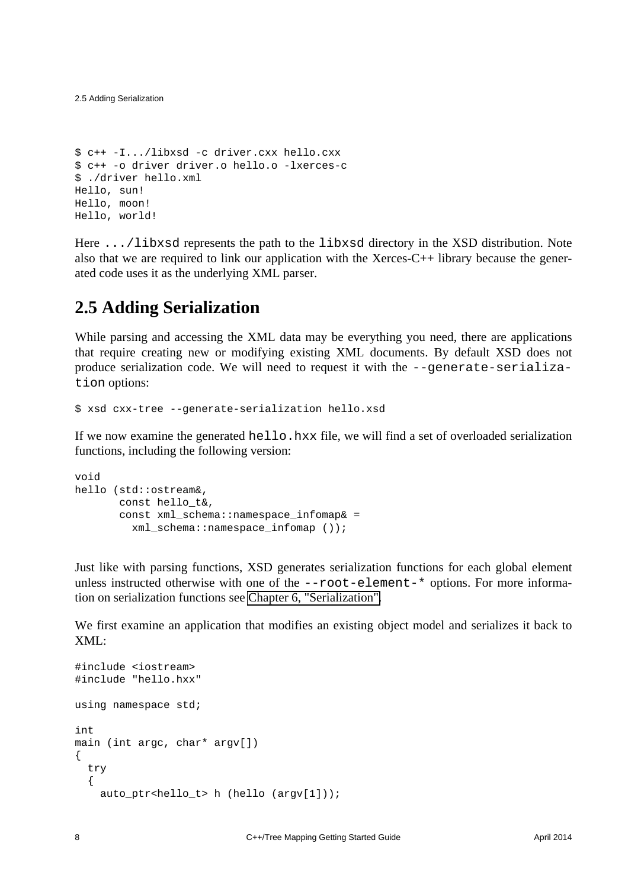```
$ c++ -I.../libxsd -c driver.cxx hello.cxx
$ c++ -o driver driver.o hello.o -lxerces-c
$ ./driver hello.xml
Hello, sun!
Hello, moon!
Hello, world!
```
Here .../libxsd represents the path to the libxsd directory in the XSD distribution. Note also that we are required to link our application with the Xerces-C++ library because the generated code uses it as the underlying XML parser.

#### <span id="page-11-0"></span>**2.5 Adding Serialization**

While parsing and accessing the XML data may be everything you need, there are applications that require creating new or modifying existing XML documents. By default XSD does not produce serialization code. We will need to request it with the --generate-serialization options:

\$ xsd cxx-tree --generate-serialization hello.xsd

If we now examine the generated hello.hxx file, we will find a set of overloaded serialization functions, including the following version:

```
void
hello (std::ostream&,
        const hello_t&,
       const xml schema::namespace infomap& =
          xml_schema::namespace_infomap ());
```
Just like with parsing functions, XSD generates serialization functions for each global element unless instructed otherwise with one of the  $--root$ -element-\* options. For more information on serialization functions see [Chapter 6, "Serialization".](#page-39-0)

We first examine an application that modifies an existing object model and serializes it back to XML:

```
#include <iostream>
#include "hello.hxx"
using namespace std;
int
main (int argc, char* argv[])
{
   try
   {
     auto_ptr<hello_t> h (hello (argv[1]));
```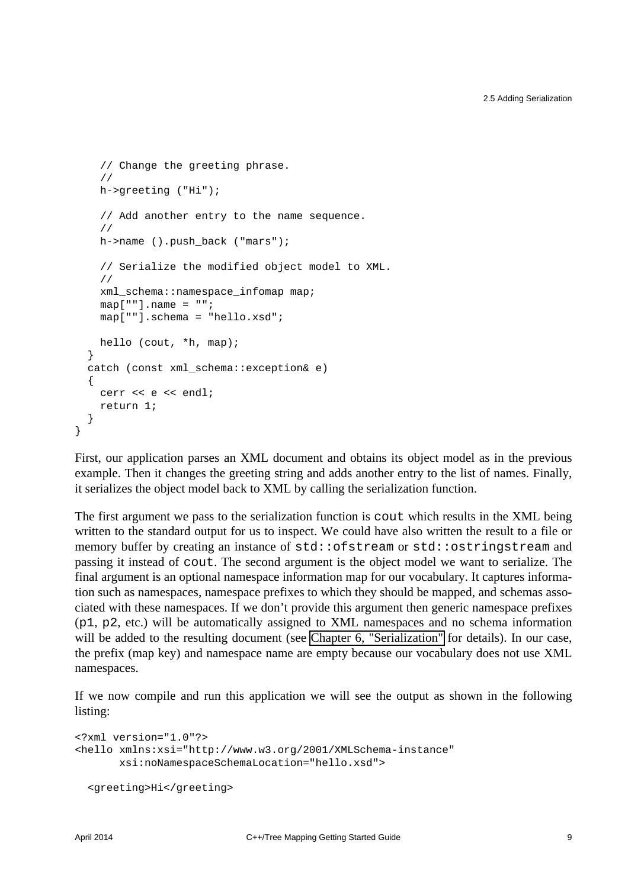```
 // Change the greeting phrase.
   //
   h->greeting ("Hi");
   // Add another entry to the name sequence.
   //
   h->name ().push_back ("mars");
   // Serialize the modified object model to XML.
   //
  xml schema::namespace infomap map;
  map[ ""].name = "";
   map[""].schema = "hello.xsd";
  hello (cout, *h, map);
 }
 catch (const xml_schema::exception& e)
 {
   cerr << e << endl;
   return 1;
 }
```
First, our application parses an XML document and obtains its object model as in the previous example. Then it changes the greeting string and adds another entry to the list of names. Finally, it serializes the object model back to XML by calling the serialization function.

The first argument we pass to the serialization function is cout which results in the XML being written to the standard output for us to inspect. We could have also written the result to a file or memory buffer by creating an instance of std::ofstream or std::ostringstream and passing it instead of cout. The second argument is the object model we want to serialize. The final argument is an optional namespace information map for our vocabulary. It captures information such as namespaces, namespace prefixes to which they should be mapped, and schemas associated with these namespaces. If we don't provide this argument then generic namespace prefixes (p1, p2, etc.) will be automatically assigned to XML namespaces and no schema information will be added to the resulting document (see [Chapter 6, "Serialization"](#page-39-0) for details). In our case, the prefix (map key) and namespace name are empty because our vocabulary does not use XML namespaces.

If we now compile and run this application we will see the output as shown in the following listing:

```
<?xml version="1.0"?>
<hello xmlns:xsi="http://www.w3.org/2001/XMLSchema-instance"
        xsi:noNamespaceSchemaLocation="hello.xsd">
  <greeting>Hi</greeting>
```
}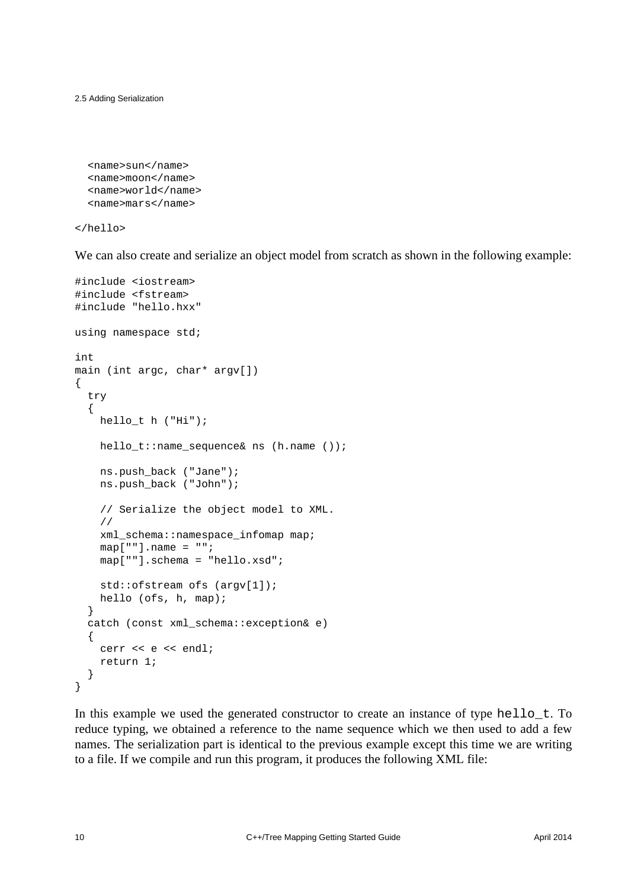2.5 Adding Serialization

```
 <name>sun</name>
 <name>moon</name>
 <name>world</name>
 <name>mars</name>
```
</hello>

We can also create and serialize an object model from scratch as shown in the following example:

```
#include <iostream>
#include <fstream>
#include "hello.hxx"
using namespace std;
int
main (int argc, char* argv[])
{
   try
   {
     hello_t h ("Hi");
     hello_t::name_sequence& ns (h.name ());
     ns.push_back ("Jane");
     ns.push_back ("John");
     // Serialize the object model to XML.
     //
     xml_schema::namespace_infomap map;
    map[ ""].name = "";
     map[""].schema = "hello.xsd";
     std::ofstream ofs (argv[1]);
     hello (ofs, h, map);
   }
   catch (const xml_schema::exception& e)
   {
    cerr << e << endl;
     return 1;
   }
}
```
In this example we used the generated constructor to create an instance of type hello\_t. To reduce typing, we obtained a reference to the name sequence which we then used to add a few names. The serialization part is identical to the previous example except this time we are writing to a file. If we compile and run this program, it produces the following XML file: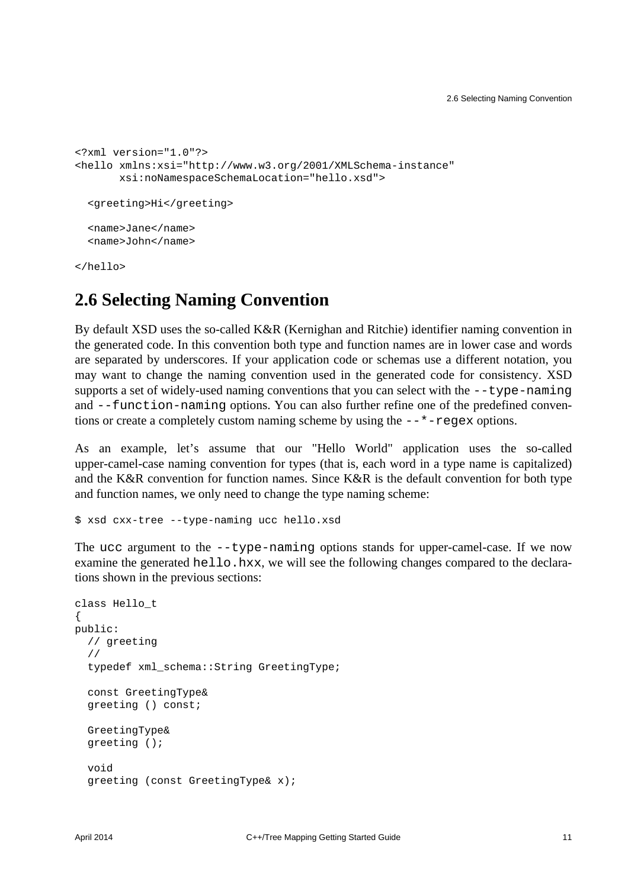```
<?xml version="1.0"?>
<hello xmlns:xsi="http://www.w3.org/2001/XMLSchema-instance"
        xsi:noNamespaceSchemaLocation="hello.xsd">
   <greeting>Hi</greeting>
   <name>Jane</name>
   <name>John</name>
</hello>
```
#### <span id="page-14-0"></span>**2.6 Selecting Naming Convention**

By default XSD uses the so-called K&R (Kernighan and Ritchie) identifier naming convention in the generated code. In this convention both type and function names are in lower case and words are separated by underscores. If your application code or schemas use a different notation, you may want to change the naming convention used in the generated code for consistency. XSD supports a set of widely-used naming conventions that you can select with the --type-naming and --function-naming options. You can also further refine one of the predefined conventions or create a completely custom naming scheme by using the --\*-regex options.

As an example, let's assume that our "Hello World" application uses the so-called upper-camel-case naming convention for types (that is, each word in a type name is capitalized) and the K&R convention for function names. Since K&R is the default convention for both type and function names, we only need to change the type naming scheme:

\$ xsd cxx-tree --type-naming ucc hello.xsd

The ucc argument to the --type-naming options stands for upper-camel-case. If we now examine the generated hello.hxx, we will see the following changes compared to the declarations shown in the previous sections:

```
class Hello_t
{
public:
  // greeting
   //
   typedef xml_schema::String GreetingType;
   const GreetingType&
   greeting () const;
   GreetingType&
   greeting ();
   void
   greeting (const GreetingType& x);
```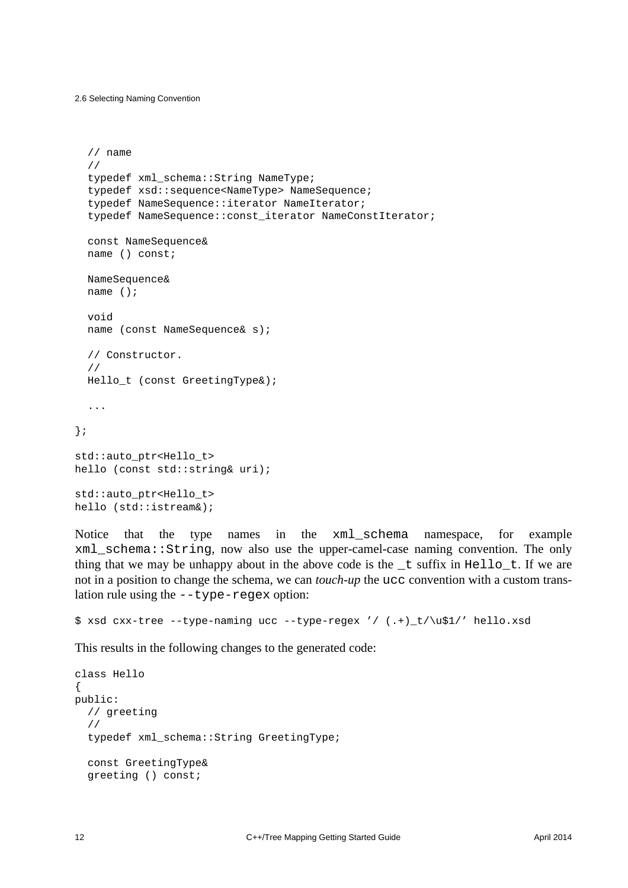2.6 Selecting Naming Convention

```
 // name
   //
  typedef xml schema::String NameType;
   typedef xsd::sequence<NameType> NameSequence;
   typedef NameSequence::iterator NameIterator;
  typedef NameSequence::const_iterator NameConstIterator;
   const NameSequence&
   name () const;
   NameSequence&
   name ();
   void
   name (const NameSequence& s);
   // Constructor.
   //
  Hello t (const GreetingType&);
   ...
};
std::auto_ptr<Hello_t>
hello (const std::string& uri);
std::auto_ptr<Hello_t>
hello (std::istream&);
```
Notice that the type names in the xml\_schema namespace, for example xml\_schema::String, now also use the upper-camel-case naming convention. The only thing that we may be unhappy about in the above code is the  $_t$  suffix in Hello<sub>t</sub>. If we are not in a position to change the schema, we can *touch-up* the ucc convention with a custom translation rule using the --type-regex option:

```
$ xsd cxx-tree --type-naming ucc --type-regex '/ (.+)_t/\u$1/' hello.xsd
```
This results in the following changes to the generated code:

```
class Hello
{
public:
   // greeting
   //
   typedef xml_schema::String GreetingType;
   const GreetingType&
   greeting () const;
```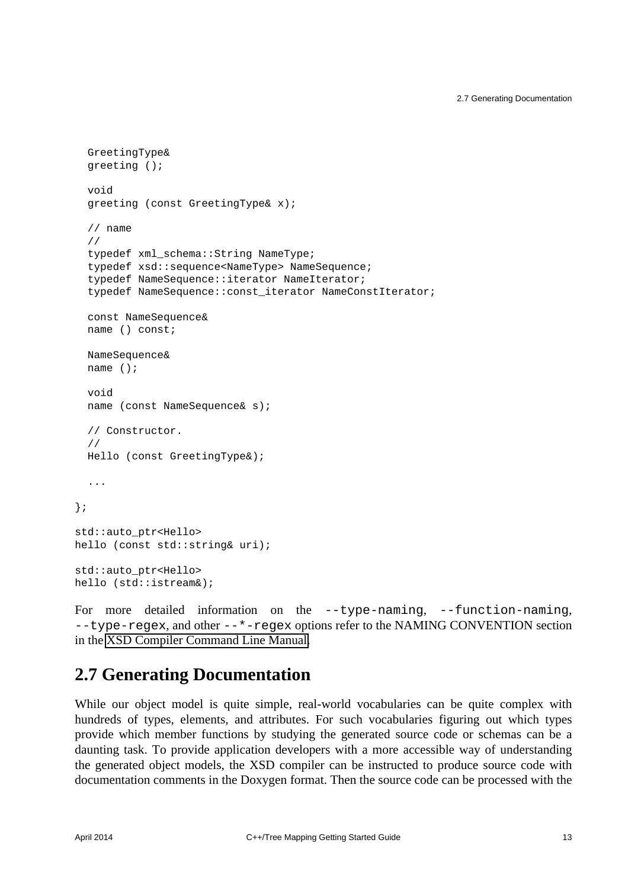```
 GreetingType&
   greeting ();
   void
   greeting (const GreetingType& x);
   // name
   //
   typedef xml_schema::String NameType;
   typedef xsd::sequence<NameType> NameSequence;
   typedef NameSequence::iterator NameIterator;
  typedef NameSequence:: const_iterator NameConstIterator;
   const NameSequence&
   name () const;
   NameSequence&
   name ();
   void
   name (const NameSequence& s);
   // Constructor.
   //
   Hello (const GreetingType&);
   ...
};
std::auto_ptr<Hello>
hello (const std::string& uri);
std::auto_ptr<Hello>
hello (std::istream&);
```
For more detailed information on the  $-$ -type-naming,  $-$ -function-naming, --type-regex, and other --\*-regex options refer to the NAMING CONVENTION section in the [XSD Compiler Command Line Manual.](http://www.codesynthesis.com/projects/xsd/documentation/xsd.xhtml)

#### <span id="page-16-0"></span>**2.7 Generating Documentation**

While our object model is quite simple, real-world vocabularies can be quite complex with hundreds of types, elements, and attributes. For such vocabularies figuring out which types provide which member functions by studying the generated source code or schemas can be a daunting task. To provide application developers with a more accessible way of understanding the generated object models, the XSD compiler can be instructed to produce source code with documentation comments in the Doxygen format. Then the source code can be processed with the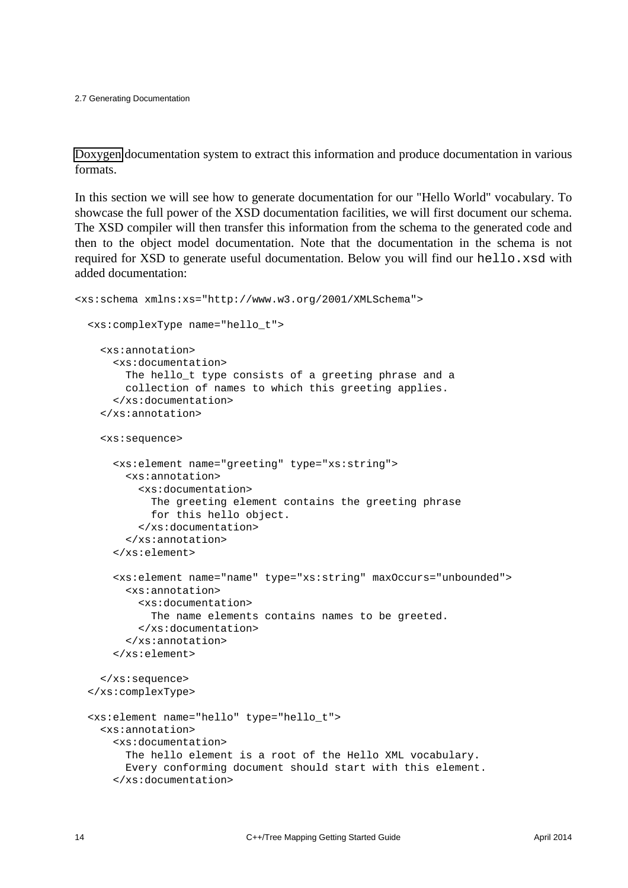[Doxygen](http://www.doxygen.org/) documentation system to extract this information and produce documentation in various formats.

In this section we will see how to generate documentation for our "Hello World" vocabulary. To showcase the full power of the XSD documentation facilities, we will first document our schema. The XSD compiler will then transfer this information from the schema to the generated code and then to the object model documentation. Note that the documentation in the schema is not required for XSD to generate useful documentation. Below you will find our hello.xsd with added documentation:

```
<xs:schema xmlns:xs="http://www.w3.org/2001/XMLSchema">
   <xs:complexType name="hello_t">
     <xs:annotation>
       <xs:documentation>
         The hello_t type consists of a greeting phrase and a
         collection of names to which this greeting applies.
       </xs:documentation>
     </xs:annotation>
     <xs:sequence>
       <xs:element name="greeting" type="xs:string">
         <xs:annotation>
           <xs:documentation>
             The greeting element contains the greeting phrase
             for this hello object.
           </xs:documentation>
         </xs:annotation>
       </xs:element>
       <xs:element name="name" type="xs:string" maxOccurs="unbounded">
         <xs:annotation>
           <xs:documentation>
             The name elements contains names to be greeted.
           </xs:documentation>
         </xs:annotation>
       </xs:element>
     </xs:sequence>
   </xs:complexType>
  <xs:element name="hello" type="hello_t">
     <xs:annotation>
       <xs:documentation>
         The hello element is a root of the Hello XML vocabulary.
         Every conforming document should start with this element.
       </xs:documentation>
```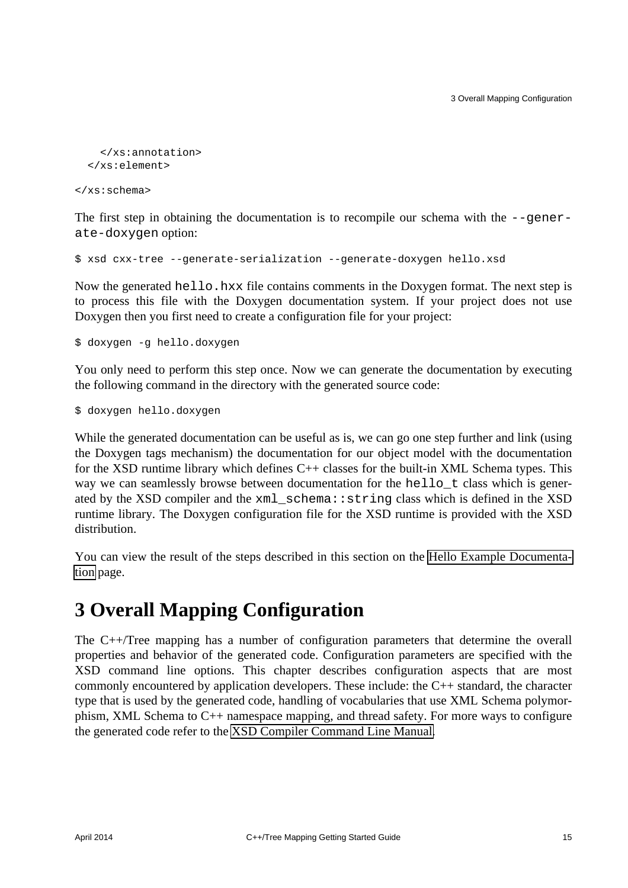```
 </xs:annotation>
 </xs:element>
```
</xs:schema>

The first step in obtaining the documentation is to recompile our schema with the  $-\epsilon$ -generate-doxygen option:

```
$ xsd cxx-tree --generate-serialization --generate-doxygen hello.xsd
```
Now the generated hello.hxx file contains comments in the Doxygen format. The next step is to process this file with the Doxygen documentation system. If your project does not use Doxygen then you first need to create a configuration file for your project:

\$ doxygen -g hello.doxygen

You only need to perform this step once. Now we can generate the documentation by executing the following command in the directory with the generated source code:

\$ doxygen hello.doxygen

While the generated documentation can be useful as is, we can go one step further and link (using the Doxygen tags mechanism) the documentation for our object model with the documentation for the XSD runtime library which defines  $C++$  classes for the built-in XML Schema types. This way we can seamlessly browse between documentation for the hello\_t class which is generated by the XSD compiler and the xml\_schema::string class which is defined in the XSD runtime library. The Doxygen configuration file for the XSD runtime is provided with the XSD distribution.

You can view the result of the steps described in this section on the [Hello Example Documenta](http://www.codesynthesis.com/projects/xsd/documentation/cxx/tree/hello/html/annotated.html)[tion](http://www.codesynthesis.com/projects/xsd/documentation/cxx/tree/hello/html/annotated.html) page.

## <span id="page-18-0"></span>**3 Overall Mapping Configuration**

The C++/Tree mapping has a number of configuration parameters that determine the overall properties and behavior of the generated code. Configuration parameters are specified with the XSD command line options. This chapter describes configuration aspects that are most commonly encountered by application developers. These include: the C++ standard, the character type that is used by the generated code, handling of vocabularies that use XML Schema polymorphism, XML Schema to C++ namespace mapping, and thread safety. For more ways to configure the generated code refer to the [XSD Compiler Command Line Manual.](http://www.codesynthesis.com/projects/xsd/documentation/xsd.xhtml)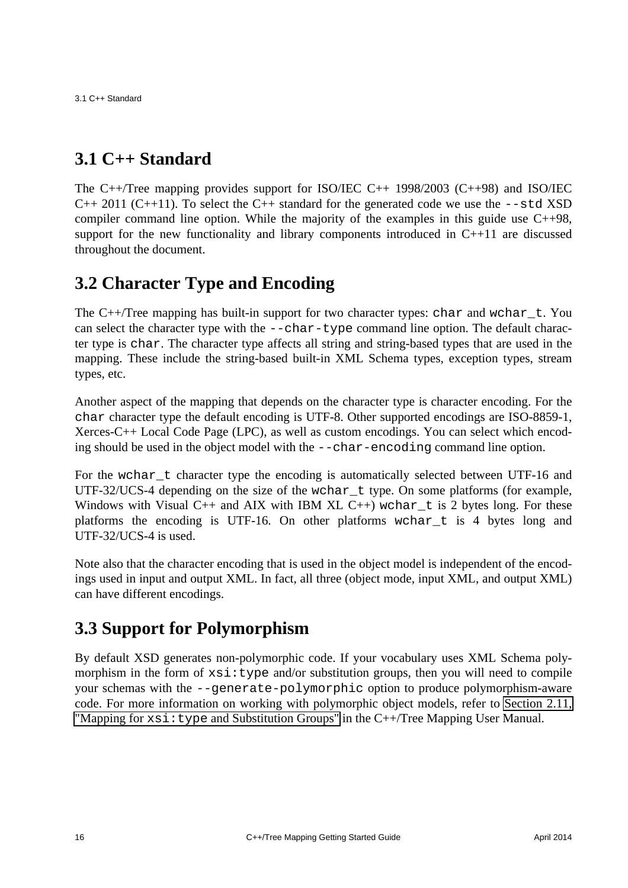3.1 C++ Standard

#### <span id="page-19-0"></span>**3.1 C++ Standard**

The C++/Tree mapping provides support for ISO/IEC C++ 1998/2003 (C++98) and ISO/IEC  $C_{++}$  2011 ( $C_{++}$ 11). To select the  $C_{++}$  standard for the generated code we use the  $--$ std XSD compiler command line option. While the majority of the examples in this guide use C++98, support for the new functionality and library components introduced in  $C+11$  are discussed throughout the document.

#### <span id="page-19-1"></span>**3.2 Character Type and Encoding**

The C++/Tree mapping has built-in support for two character types: chara and wchar  $_t$ . You can select the character type with the --char-type command line option. The default character type is char. The character type affects all string and string-based types that are used in the mapping. These include the string-based built-in XML Schema types, exception types, stream types, etc.

Another aspect of the mapping that depends on the character type is character encoding. For the char character type the default encoding is UTF-8. Other supported encodings are ISO-8859-1, Xerces-C++ Local Code Page (LPC), as well as custom encodings. You can select which encoding should be used in the object model with the --char-encoding command line option.

For the wchar\_t character type the encoding is automatically selected between UTF-16 and UTF-32/UCS-4 depending on the size of the wchar  $\pm$  type. On some platforms (for example, Windows with Visual C++ and AIX with IBM XL C++) wchar t is 2 bytes long. For these platforms the encoding is UTF-16. On other platforms wchar\_t is 4 bytes long and UTF-32/UCS-4 is used.

Note also that the character encoding that is used in the object model is independent of the encodings used in input and output XML. In fact, all three (object mode, input XML, and output XML) can have different encodings.

## <span id="page-19-2"></span>**3.3 Support for Polymorphism**

By default XSD generates non-polymorphic code. If your vocabulary uses XML Schema polymorphism in the form of  $xsi:type$  and/or substitution groups, then you will need to compile your schemas with the --generate-polymorphic option to produce polymorphism-aware code. For more information on working with polymorphic object models, refer to [Section 2.11,](http://www.codesynthesis.com/projects/xsd/documentation/cxx/tree/manual/#2.11) "Mapping for  $xsi:type$  [and Substitution Groups"](http://www.codesynthesis.com/projects/xsd/documentation/cxx/tree/manual/#2.11) in the C++/Tree Mapping User Manual.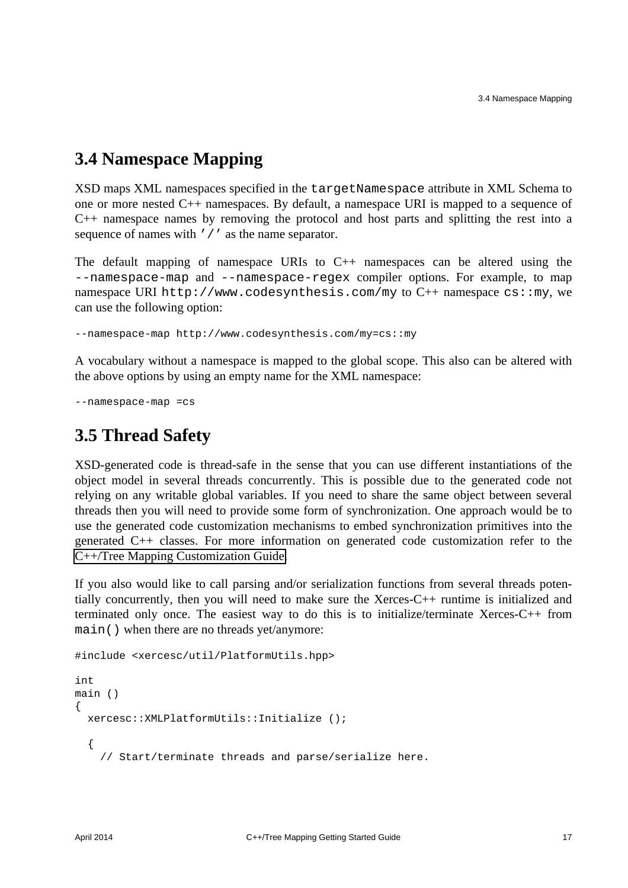#### <span id="page-20-0"></span>**3.4 Namespace Mapping**

XSD maps XML namespaces specified in the targetNamespace attribute in XML Schema to one or more nested C++ namespaces. By default, a namespace URI is mapped to a sequence of C++ namespace names by removing the protocol and host parts and splitting the rest into a sequence of names with '/' as the name separator.

The default mapping of namespace URIs to C++ namespaces can be altered using the --namespace-map and --namespace-regex compiler options. For example, to map namespace URI http://www.codesynthesis.com/my to  $C++$  namespace cs:: my, we can use the following option:

--namespace-map http://www.codesynthesis.com/my=cs::my

A vocabulary without a namespace is mapped to the global scope. This also can be altered with the above options by using an empty name for the XML namespace:

--namespace-map =cs

#### <span id="page-20-1"></span>**3.5 Thread Safety**

XSD-generated code is thread-safe in the sense that you can use different instantiations of the object model in several threads concurrently. This is possible due to the generated code not relying on any writable global variables. If you need to share the same object between several threads then you will need to provide some form of synchronization. One approach would be to use the generated code customization mechanisms to embed synchronization primitives into the generated C++ classes. For more information on generated code customization refer to the [C++/Tree Mapping Customization Guide.](http://wiki.codesynthesis.com/Tree/Customization_guide)

If you also would like to call parsing and/or serialization functions from several threads potentially concurrently, then you will need to make sure the Xerces-C++ runtime is initialized and terminated only once. The easiest way to do this is to initialize/terminate Xerces-C++ from main() when there are no threads yet/anymore:

```
#include <xercesc/util/PlatformUtils.hpp>
```

```
int
main ()
{
   xercesc::XMLPlatformUtils::Initialize ();
   {
     // Start/terminate threads and parse/serialize here.
```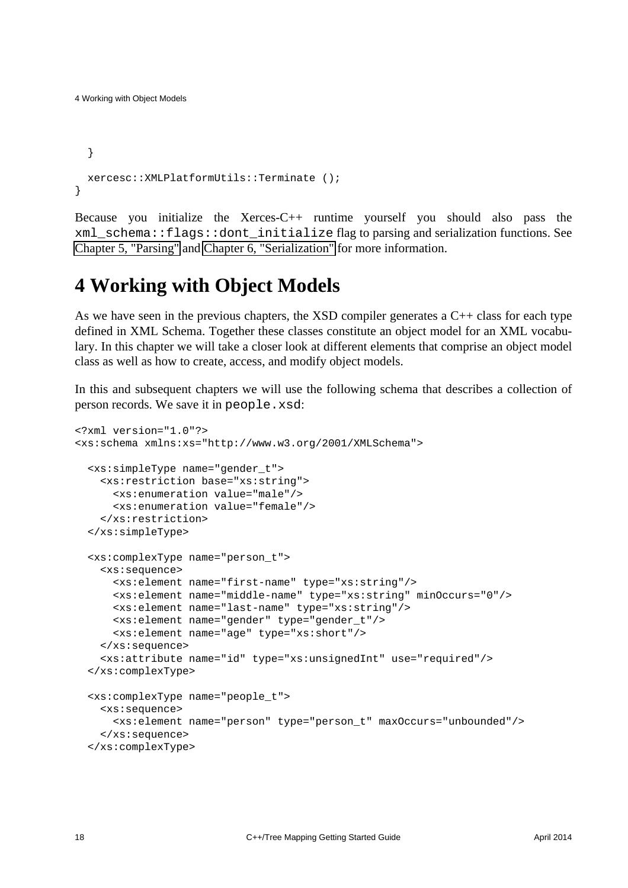```
 }
  xercesc::XMLPlatformUtils::Terminate ();
}
```
4 Working with Object Models

Because you initialize the Xerces-C++ runtime yourself you should also pass the xml\_schema::flags::dont\_initialize flag to parsing and serialization functions. See [Chapter 5, "Parsing"](#page-35-0) and [Chapter 6, "Serialization"](#page-39-0) for more information.

## <span id="page-21-0"></span>**4 Working with Object Models**

As we have seen in the previous chapters, the XSD compiler generates a C++ class for each type defined in XML Schema. Together these classes constitute an object model for an XML vocabulary. In this chapter we will take a closer look at different elements that comprise an object model class as well as how to create, access, and modify object models.

In this and subsequent chapters we will use the following schema that describes a collection of person records. We save it in people.xsd:

```
<?xml version="1.0"?>
<xs:schema xmlns:xs="http://www.w3.org/2001/XMLSchema">
  <xs:simpleType name="gender_t">
     <xs:restriction base="xs:string">
       <xs:enumeration value="male"/>
       <xs:enumeration value="female"/>
     </xs:restriction>
   </xs:simpleType>
  <xs:complexType name="person_t">
    <xs:sequence>
       <xs:element name="first-name" type="xs:string"/>
       <xs:element name="middle-name" type="xs:string" minOccurs="0"/>
       <xs:element name="last-name" type="xs:string"/>
       <xs:element name="gender" type="gender_t"/>
       <xs:element name="age" type="xs:short"/>
     </xs:sequence>
     <xs:attribute name="id" type="xs:unsignedInt" use="required"/>
   </xs:complexType>
  <xs:complexType name="people_t">
     <xs:sequence>
       <xs:element name="person" type="person_t" maxOccurs="unbounded"/>
     </xs:sequence>
  </xs:complexType>
```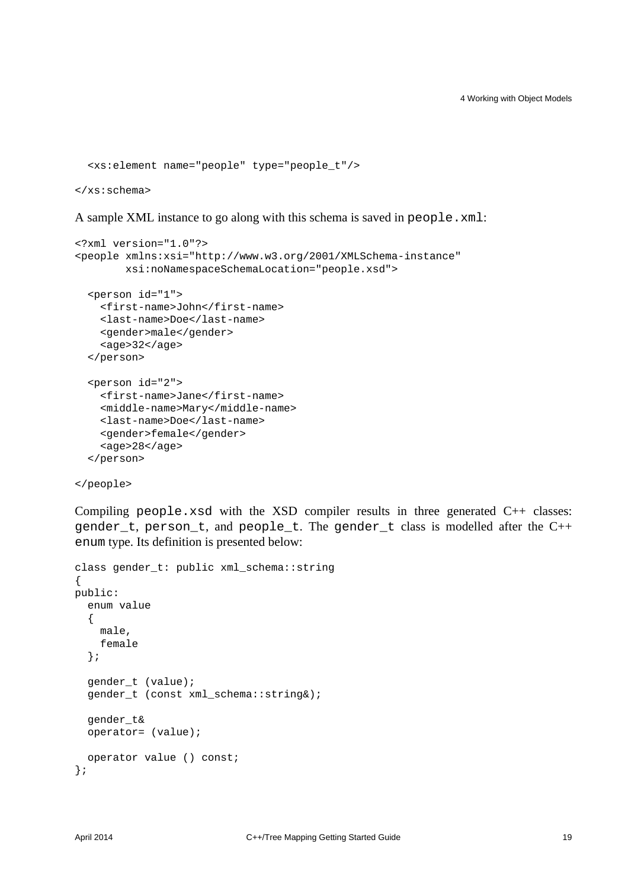```
 <xs:element name="people" type="people_t"/>
```
</xs:schema>

A sample XML instance to go along with this schema is saved in people.xml:

```
<?xml version="1.0"?>
<people xmlns:xsi="http://www.w3.org/2001/XMLSchema-instance"
         xsi:noNamespaceSchemaLocation="people.xsd">
   <person id="1">
     <first-name>John</first-name>
     <last-name>Doe</last-name>
     <gender>male</gender>
     <age>32</age>
   </person>
   <person id="2">
     <first-name>Jane</first-name>
     <middle-name>Mary</middle-name>
     <last-name>Doe</last-name>
     <gender>female</gender>
     <age>28</age>
   </person>
```
</people>

Compiling people.xsd with the XSD compiler results in three generated  $C_{++}$  classes: gender\_t, person\_t, and people\_t. The gender\_t class is modelled after the C++ enum type. Its definition is presented below:

```
class gender t: public xml schema::string
{
public:
   enum value
   {
     male,
     female
   };
   gender_t (value);
   gender_t (const xml_schema::string&);
   gender_t&
   operator= (value);
   operator value () const;
};
```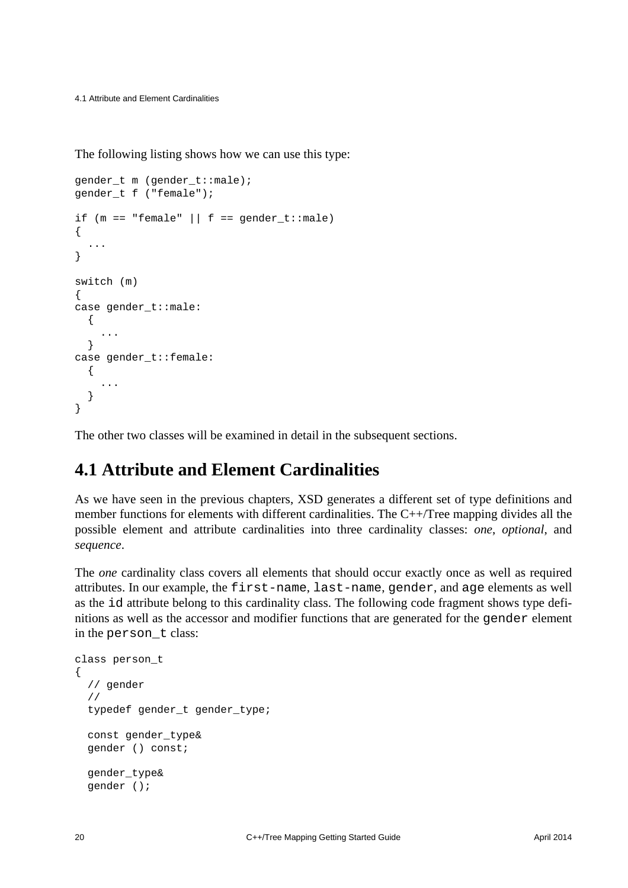4.1 Attribute and Element Cardinalities

The following listing shows how we can use this type:

```
gender_t m (gender_t::male);
gender_t f ("female");
if (m == "female" || f == gender_t::male){
   ...
}
switch (m)
{
case gender_t::male:
   {
     ...
   }
case gender_t::female:
   {
     ...
   }
}
```
The other two classes will be examined in detail in the subsequent sections.

#### <span id="page-23-0"></span>**4.1 Attribute and Element Cardinalities**

As we have seen in the previous chapters, XSD generates a different set of type definitions and member functions for elements with different cardinalities. The C++/Tree mapping divides all the possible element and attribute cardinalities into three cardinality classes: *one*, *optional*, and *sequence*.

The *one* cardinality class covers all elements that should occur exactly once as well as required attributes. In our example, the first-name, last-name, gender, and age elements as well as the id attribute belong to this cardinality class. The following code fragment shows type definitions as well as the accessor and modifier functions that are generated for the gender element in the person\_t class:

```
class person_t
{
   // gender
   //
   typedef gender_t gender_type;
   const gender_type&
   gender () const;
   gender_type&
   gender ();
```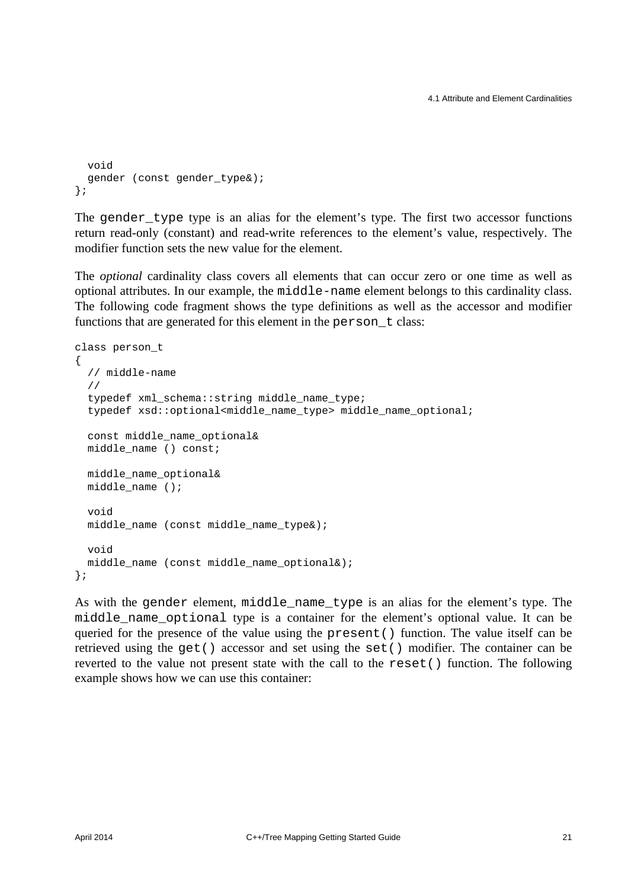```
 void
  gender (const gender_type&);
};
```
The gender type type is an alias for the element's type. The first two accessor functions return read-only (constant) and read-write references to the element's value, respectively. The modifier function sets the new value for the element.

The *optional* cardinality class covers all elements that can occur zero or one time as well as optional attributes. In our example, the middle-name element belongs to this cardinality class. The following code fragment shows the type definitions as well as the accessor and modifier functions that are generated for this element in the person t class:

```
class person_t
{
   // middle-name
   //
   typedef xml_schema::string middle_name_type;
  typedef xsd::optional<middle name type> middle name optional;
   const middle_name_optional&
   middle_name () const;
  middle_name_optional&
  middle_name ();
   void
   middle_name (const middle_name_type&);
   void
  middle_name (const middle_name_optional&);
};
```
As with the gender element, middle\_name\_type is an alias for the element's type. The middle\_name\_optional type is a container for the element's optional value. It can be queried for the presence of the value using the present() function. The value itself can be retrieved using the get() accessor and set using the set() modifier. The container can be reverted to the value not present state with the call to the reset() function. The following example shows how we can use this container: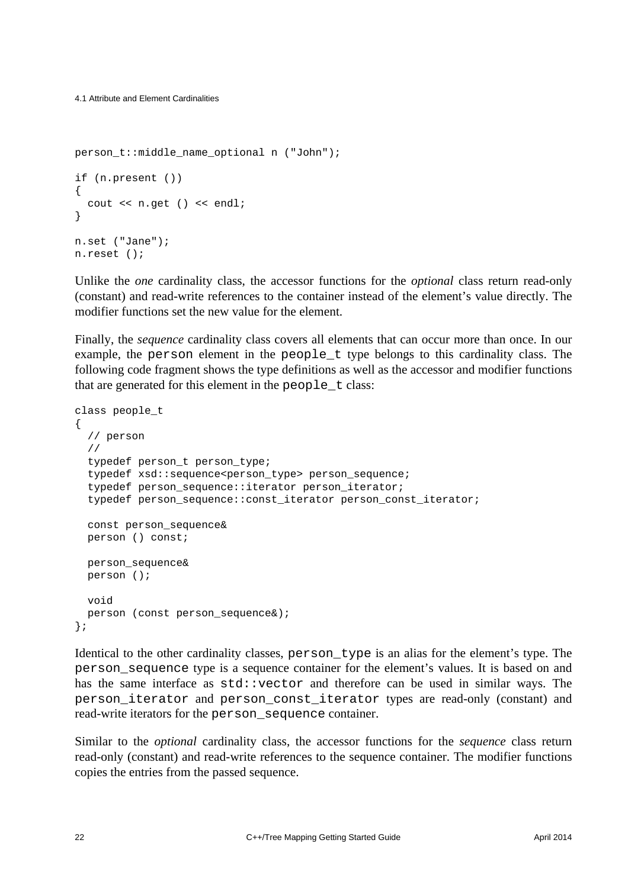```
person t::middle name optional n ("John");
if (n.present ())
{
   cout << n.get () << endl;
}
n.set ("Jane");
n.reset ();
```
Unlike the *one* cardinality class, the accessor functions for the *optional* class return read-only (constant) and read-write references to the container instead of the element's value directly. The modifier functions set the new value for the element.

Finally, the *sequence* cardinality class covers all elements that can occur more than once. In our example, the person element in the people\_t type belongs to this cardinality class. The following code fragment shows the type definitions as well as the accessor and modifier functions that are generated for this element in the people\_t class:

```
class people_t
{
   // person
   //
   typedef person_t person_type;
   typedef xsd::sequence<person_type> person_sequence;
   typedef person_sequence::iterator person_iterator;
   typedef person_sequence::const_iterator person_const_iterator;
   const person_sequence&
   person () const;
  person_sequence&
  person ();
  void
  person (const person_sequence&);
};
```
Identical to the other cardinality classes, person\_type is an alias for the element's type. The person\_sequence type is a sequence container for the element's values. It is based on and has the same interface as  $std::vector$  and therefore can be used in similar ways. The person\_iterator and person\_const\_iterator types are read-only (constant) and read-write iterators for the person\_sequence container.

Similar to the *optional* cardinality class, the accessor functions for the *sequence* class return read-only (constant) and read-write references to the sequence container. The modifier functions copies the entries from the passed sequence.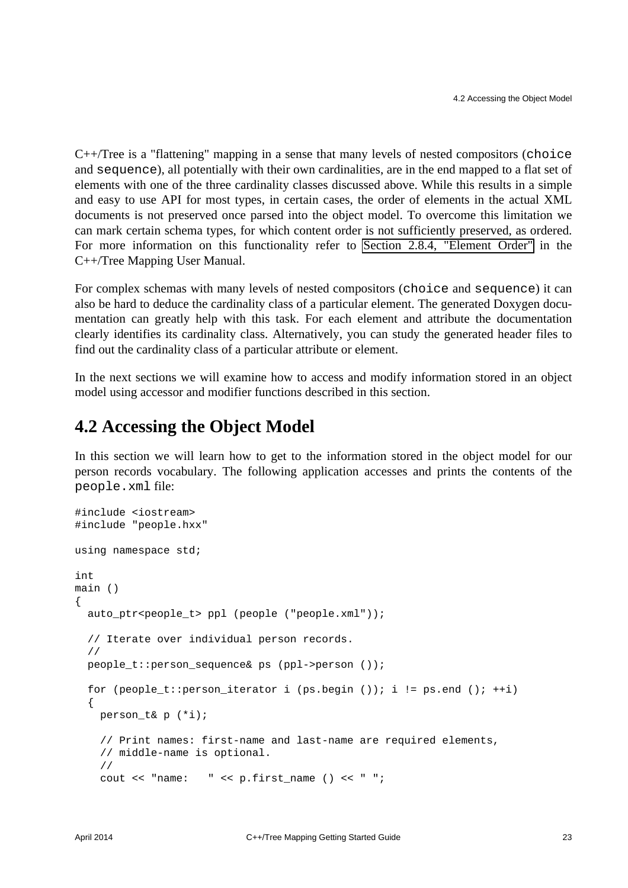C++/Tree is a "flattening" mapping in a sense that many levels of nested compositors (choice and sequence), all potentially with their own cardinalities, are in the end mapped to a flat set of elements with one of the three cardinality classes discussed above. While this results in a simple and easy to use API for most types, in certain cases, the order of elements in the actual XML documents is not preserved once parsed into the object model. To overcome this limitation we can mark certain schema types, for which content order is not sufficiently preserved, as ordered. For more information on this functionality refer to [Section 2.8.4, "Element Order"](http://www.codesynthesis.com/projects/xsd/documentation/cxx/tree/manual/#2.8.4) in the C++/Tree Mapping User Manual.

For complex schemas with many levels of nested compositors (choice and sequence) it can also be hard to deduce the cardinality class of a particular element. The generated Doxygen documentation can greatly help with this task. For each element and attribute the documentation clearly identifies its cardinality class. Alternatively, you can study the generated header files to find out the cardinality class of a particular attribute or element.

In the next sections we will examine how to access and modify information stored in an object model using accessor and modifier functions described in this section.

#### <span id="page-26-0"></span>**4.2 Accessing the Object Model**

In this section we will learn how to get to the information stored in the object model for our person records vocabulary. The following application accesses and prints the contents of the people.xml file:

```
#include <iostream>
#include "people.hxx"
using namespace std;
int
main ()
{
  auto_ptr<people_t> ppl (people ("people.xml"));
   // Iterate over individual person records.
   //
  people_t::person_sequence& ps (ppl->person ());
   for (people_t::person_iterator i (ps.begin ()); i != ps.end (); ++i)
  \{ person_t& p (*i);
     // Print names: first-name and last-name are required elements,
     // middle-name is optional.
     //
     cout << "name: " << p.first_name () << " ";
```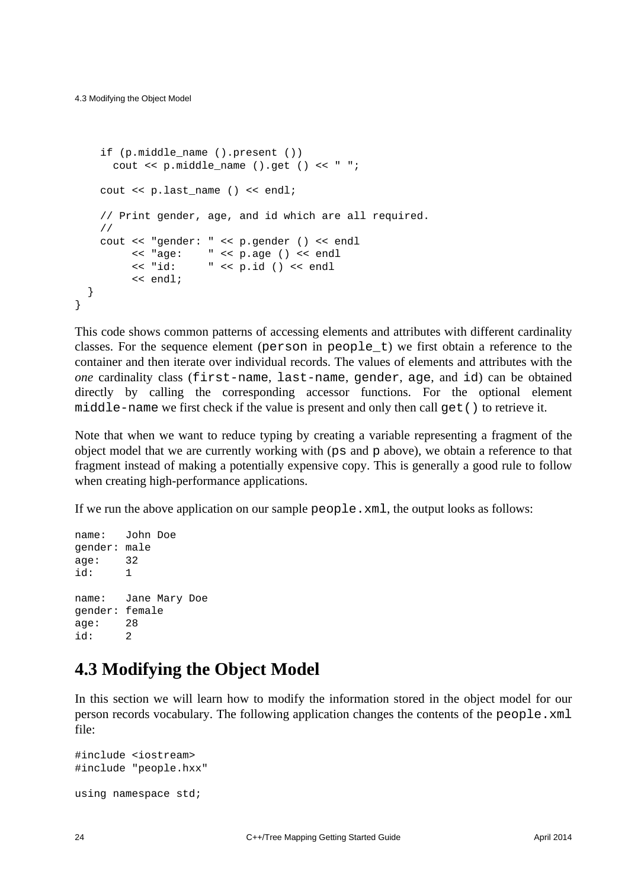```
if (p.middle name ().present ())
      cout \langle p.middle name ().get () \langle = ";
    cout << p.last name () << endl;
     // Print gender, age, and id which are all required.
     //
     cout << "gender: " << p.gender () << endl
          << "age: " << p.age () << endl
          << "id: " << p.id () << endl
          << endl;
   }
}
```
This code shows common patterns of accessing elements and attributes with different cardinality classes. For the sequence element (person in people\_t) we first obtain a reference to the container and then iterate over individual records. The values of elements and attributes with the *one* cardinality class (first-name, last-name, gender, age, and id) can be obtained directly by calling the corresponding accessor functions. For the optional element middle-name we first check if the value is present and only then call get () to retrieve it.

Note that when we want to reduce typing by creating a variable representing a fragment of the object model that we are currently working with (ps and p above), we obtain a reference to that fragment instead of making a potentially expensive copy. This is generally a good rule to follow when creating high-performance applications.

If we run the above application on our sample people.xml, the output looks as follows:

```
name: John Doe
gender: male
age: 32
id: 1
name: Jane Mary Doe
gender: female
age: 28
id: 2
```
#### <span id="page-27-0"></span>**4.3 Modifying the Object Model**

In this section we will learn how to modify the information stored in the object model for our person records vocabulary. The following application changes the contents of the people.xml file:

```
#include <iostream>
#include "people.hxx"
using namespace std;
```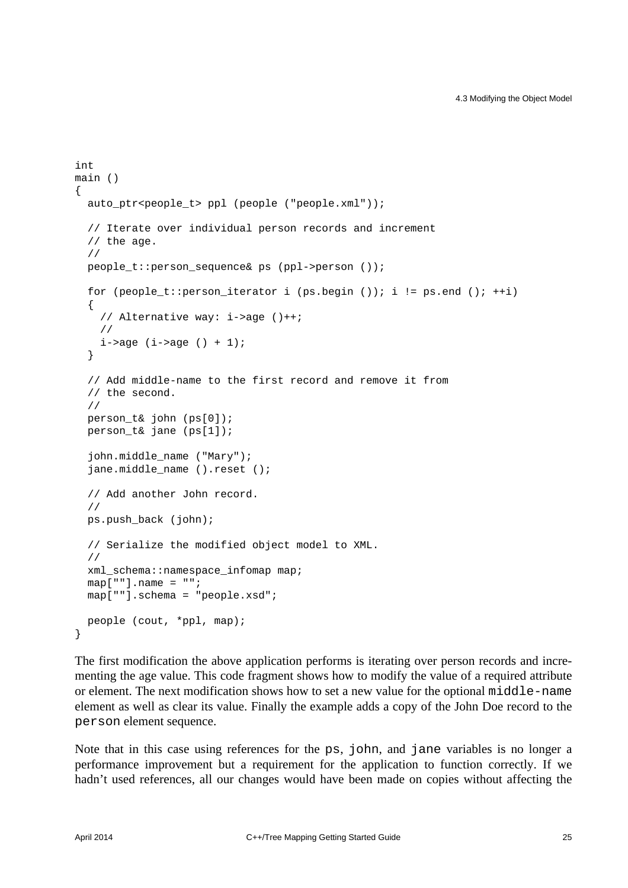```
int
main ()
{
   auto_ptr<people_t> ppl (people ("people.xml"));
   // Iterate over individual person records and increment
   // the age.
   //
  people t::person sequence& ps (ppl->person ());
  for (people_t::person_iterator i (ps.begin ()); i != ps.end (); ++i)
   {
     // Alternative way: i->age ()++;
     //
    i->age (i->age () + 1);
   }
   // Add middle-name to the first record and remove it from
   // the second.
   //
  person_t& john (ps[0]);
   person_t& jane (ps[1]);
   john.middle_name ("Mary");
   jane.middle_name ().reset ();
   // Add another John record.
   //
  ps.push_back (john);
   // Serialize the modified object model to XML.
   //
   xml_schema::namespace_infomap map;
  map[""].name = "";
  map[""].schema = "people.xsd";
  people (cout, *ppl, map);
}
```
The first modification the above application performs is iterating over person records and incrementing the age value. This code fragment shows how to modify the value of a required attribute or element. The next modification shows how to set a new value for the optional middle-name element as well as clear its value. Finally the example adds a copy of the John Doe record to the person element sequence.

Note that in this case using references for the ps, john, and jane variables is no longer a performance improvement but a requirement for the application to function correctly. If we hadn't used references, all our changes would have been made on copies without affecting the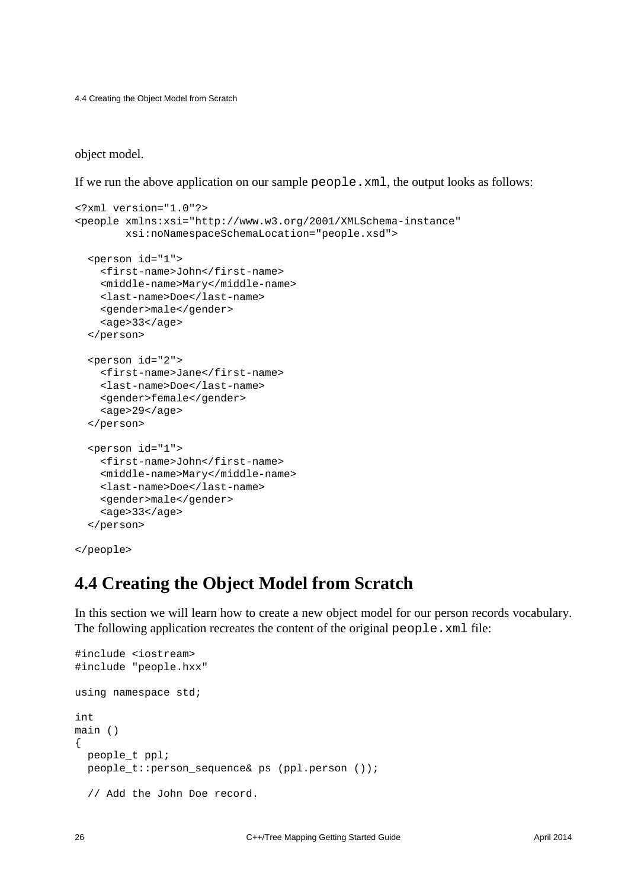4.4 Creating the Object Model from Scratch

object model.

If we run the above application on our sample people.xml, the output looks as follows:

```
<?xml version="1.0"?>
<people xmlns:xsi="http://www.w3.org/2001/XMLSchema-instance"
         xsi:noNamespaceSchemaLocation="people.xsd">
   <person id="1">
     <first-name>John</first-name>
     <middle-name>Mary</middle-name>
     <last-name>Doe</last-name>
     <gender>male</gender>
     <age>33</age>
   </person>
   <person id="2">
     <first-name>Jane</first-name>
     <last-name>Doe</last-name>
     <gender>female</gender>
     <age>29</age>
   </person>
   <person id="1">
     <first-name>John</first-name>
     <middle-name>Mary</middle-name>
     <last-name>Doe</last-name>
     <gender>male</gender>
     <age>33</age>
   </person>
```

```
</people>
```
#### <span id="page-29-0"></span>**4.4 Creating the Object Model from Scratch**

In this section we will learn how to create a new object model for our person records vocabulary. The following application recreates the content of the original people.xml file:

```
#include <iostream>
#include "people.hxx"
using namespace std;
int
main ()
{
  people_t ppl;
  people_t::person_sequence& ps (ppl.person ());
   // Add the John Doe record.
```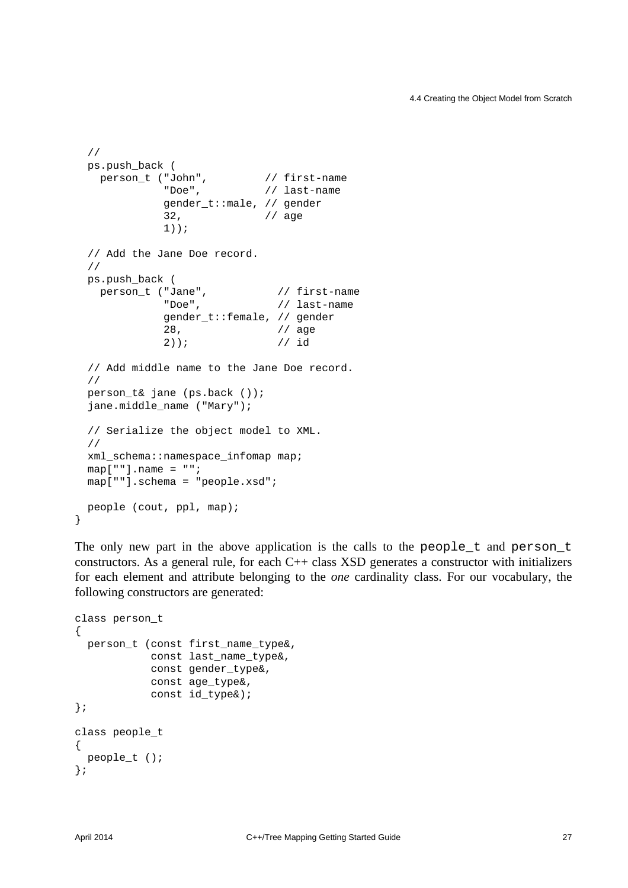```
 //
  ps.push_back (
person_t ("John", \frac{1}{2} // first-name
 "Doe", // last-name
             gender_t::male, // gender
             32, // age
             1));
  // Add the Jane Doe record.
  //
  ps.push_back (
   person_t ("Jane", \frac{1}{2} // first-name
             "Doe", // last-name
             gender_t::female, // gender
             28, // age
             2)); // id
  // Add middle name to the Jane Doe record.
  //
 person t& jane (ps.back ());
 jane.middle name ("Mary");
  // Serialize the object model to XML.
  //
  xml_schema::namespace_infomap map;
 map[""].name = "";
  map[""].schema = "people.xsd";
  people (cout, ppl, map);
```
The only new part in the above application is the calls to the people\_t and person\_t constructors. As a general rule, for each C++ class XSD generates a constructor with initializers for each element and attribute belonging to the *one* cardinality class. For our vocabulary, the following constructors are generated:

```
class person_t
{
  person t (const first name type&,
             const last_name_type&,
             const gender_type&,
             const age_type&,
             const id_type&);
};
class people_t
{
 people t ();
};
```
}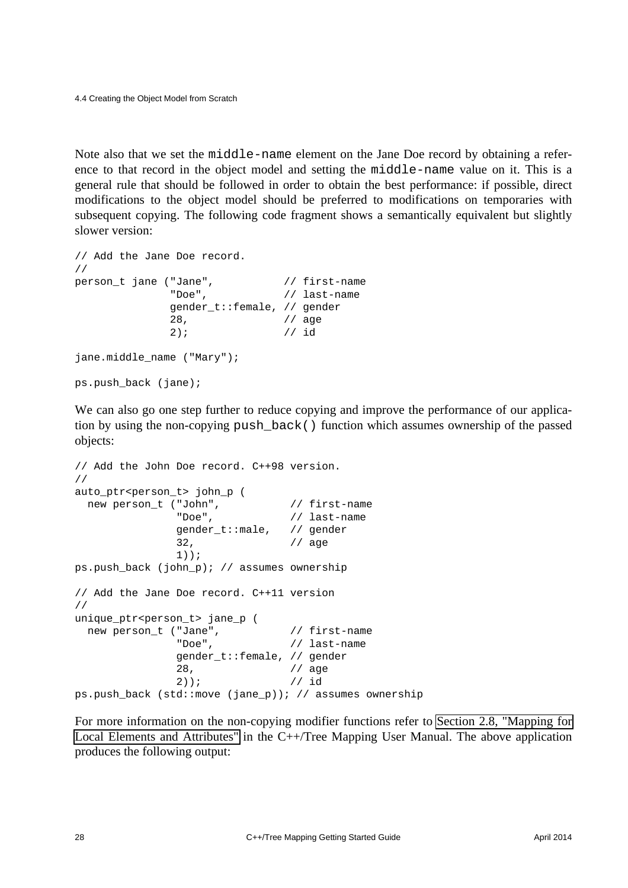Note also that we set the middle-name element on the Jane Doe record by obtaining a reference to that record in the object model and setting the middle-name value on it. This is a general rule that should be followed in order to obtain the best performance: if possible, direct modifications to the object model should be preferred to modifications on temporaries with subsequent copying. The following code fragment shows a semantically equivalent but slightly slower version:

```
// Add the Jane Doe record.
//
person_t jane ("Jane", \frac{1}{2} // first-name
              "Doe", // last-name
              gender_t::female, // gender
              28, // age
              2); // id
jane.middle name ("Mary");
ps.push_back (jane);
```
We can also go one step further to reduce copying and improve the performance of our application by using the non-copying push\_back() function which assumes ownership of the passed objects:

```
// Add the John Doe record. C++98 version.
//
auto_ptr<person_t> john_p (
 new person t ("John", // first-name
               "Doe", // last-name
               gender_t::male, // gender
               32, // age
               1));
ps.push back (john p); // assumes ownership
// Add the Jane Doe record. C++11 version
//
unique ptr<person t> jane p (
 new person t ("Jane", \frac{1}{1} first-name
               "Doe", // last-name
               gender_t::female, // gender
               28, // age
               2)); // id
ps.push_back (std::move (jane_p)); // assumes ownership
```
For more information on the non-copying modifier functions refer to [Section 2.8, "Mapping for](http://www.codesynthesis.com/projects/xsd/documentation/cxx/tree/manual/#2.8) [Local Elements and Attributes"](http://www.codesynthesis.com/projects/xsd/documentation/cxx/tree/manual/#2.8) in the C++/Tree Mapping User Manual. The above application produces the following output: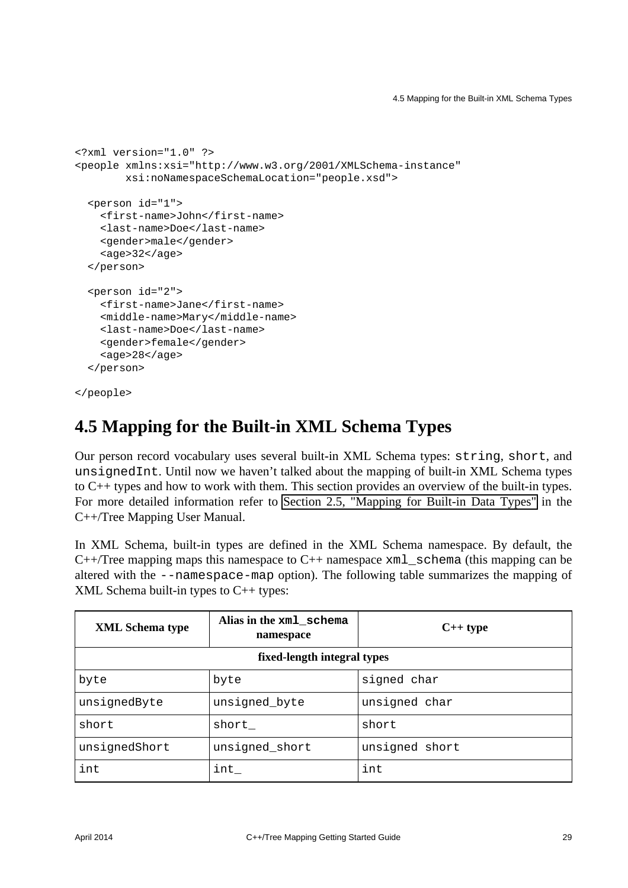```
<?xml version="1.0" ?>
<people xmlns:xsi="http://www.w3.org/2001/XMLSchema-instance"
         xsi:noNamespaceSchemaLocation="people.xsd">
   <person id="1">
     <first-name>John</first-name>
     <last-name>Doe</last-name>
     <gender>male</gender>
     <age>32</age>
   </person>
   <person id="2">
     <first-name>Jane</first-name>
     <middle-name>Mary</middle-name>
     <last-name>Doe</last-name>
     <gender>female</gender>
    <a>qe>28</aqe>
   </person>
```

```
</people>
```
## <span id="page-32-0"></span>**4.5 Mapping for the Built-in XML Schema Types**

Our person record vocabulary uses several built-in XML Schema types: string, short, and unsignedInt. Until now we haven't talked about the mapping of built-in XML Schema types to C++ types and how to work with them. This section provides an overview of the built-in types. For more detailed information refer to [Section 2.5, "Mapping for Built-in Data Types"](http://www.codesynthesis.com/projects/xsd/documentation/cxx/tree/manual/#2.5) in the C++/Tree Mapping User Manual.

In XML Schema, built-in types are defined in the XML Schema namespace. By default, the  $C++/Tree$  mapping maps this namespace to  $C++$  namespace  $xml$  schema (this mapping can be altered with the --namespace-map option). The following table summarizes the mapping of XML Schema built-in types to C++ types:

| <b>XML</b> Schema type      | Alias in the xml_schema<br>namespace | $C++type$      |  |  |  |
|-----------------------------|--------------------------------------|----------------|--|--|--|
| fixed-length integral types |                                      |                |  |  |  |
| byte                        | byte                                 | signed char    |  |  |  |
| unsignedByte                | unsigned_byte                        | unsigned char  |  |  |  |
| short                       | short_                               | short          |  |  |  |
| unsignedShort               | unsigned_short                       | unsigned short |  |  |  |
| int                         | int                                  | int            |  |  |  |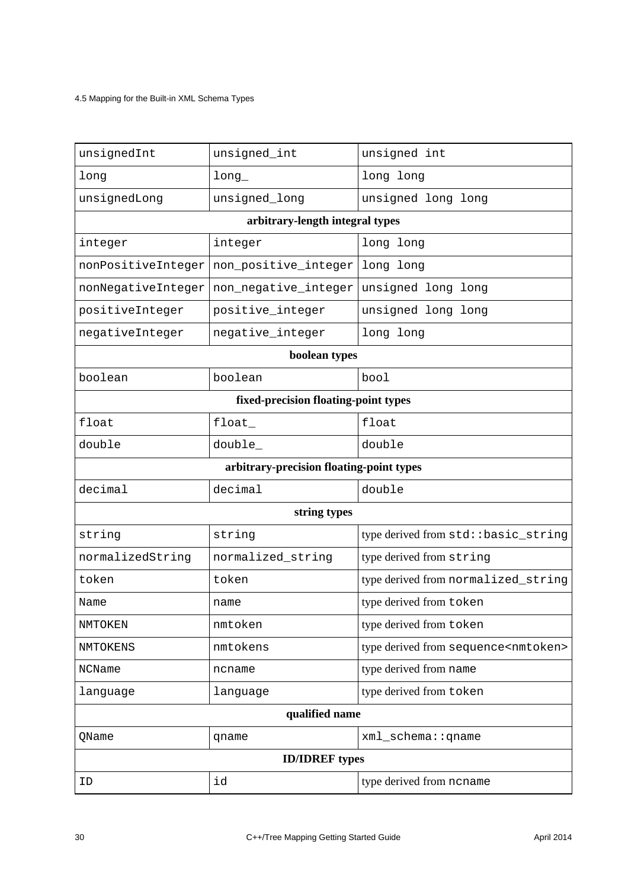4.5 Mapping for the Built-in XML Schema Types

| unsignedInt                              | unsigned_int         | unsigned int                                   |  |  |  |
|------------------------------------------|----------------------|------------------------------------------------|--|--|--|
| long                                     | long                 | long long                                      |  |  |  |
| unsignedLong                             | unsigned_long        | unsigned long long                             |  |  |  |
| arbitrary-length integral types          |                      |                                                |  |  |  |
| integer                                  | integer              | long long                                      |  |  |  |
| nonPositiveInteger                       | non_positive_integer | long long                                      |  |  |  |
| nonNegativeInteger                       | non_negative_integer | unsigned long long                             |  |  |  |
| positiveInteger                          | positive_integer     | unsigned long long                             |  |  |  |
| negativeInteger                          | negative_integer     | long long                                      |  |  |  |
| boolean types                            |                      |                                                |  |  |  |
| boolean                                  | boolean              | bool                                           |  |  |  |
| fixed-precision floating-point types     |                      |                                                |  |  |  |
| float                                    | float                | float                                          |  |  |  |
| double                                   | double_              | double                                         |  |  |  |
| arbitrary-precision floating-point types |                      |                                                |  |  |  |
| decimal                                  | decimal              | double                                         |  |  |  |
| string types                             |                      |                                                |  |  |  |
| string                                   | string               | type derived from std: : basic_string          |  |  |  |
| normalizedString                         | normalized_string    | type derived from string                       |  |  |  |
| token                                    | token                | type derived from normalized_string            |  |  |  |
| Name                                     | name                 | type derived from token                        |  |  |  |
| NMTOKEN                                  | nmtoken              | type derived from token                        |  |  |  |
| NMTOKENS                                 | nmtokens             | type derived from sequence <nmtoken></nmtoken> |  |  |  |
| NCName                                   | ncname               | type derived from name                         |  |  |  |
| language                                 | language             | type derived from token                        |  |  |  |
| qualified name                           |                      |                                                |  |  |  |
| QName                                    | qname                | xml_schema:: qname                             |  |  |  |
| <b>ID/IDREF</b> types                    |                      |                                                |  |  |  |
| ID                                       | id                   | type derived from ncname                       |  |  |  |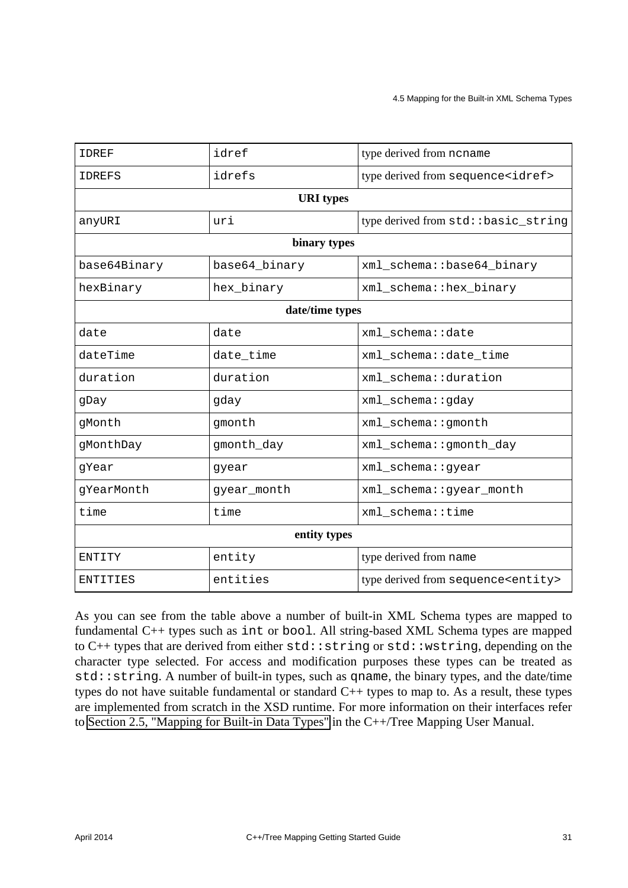| <b>IDREF</b>     | idref         | type derived from ncname                     |  |  |  |
|------------------|---------------|----------------------------------------------|--|--|--|
| <b>IDREFS</b>    | idrefs        | type derived from sequence <idref></idref>   |  |  |  |
| <b>URI</b> types |               |                                              |  |  |  |
| anyURI           | uri           | type derived from std: : basic_string        |  |  |  |
| binary types     |               |                                              |  |  |  |
| base64Binary     | base64_binary | xml_schema::base64_binary                    |  |  |  |
| hexBinary        | hex_binary    | xml_schema::hex_binary                       |  |  |  |
| date/time types  |               |                                              |  |  |  |
| date             | date          | xml schema::date                             |  |  |  |
| dateTime         | date_time     | xml_schema::date_time                        |  |  |  |
| duration         | duration      | xml_schema::duration                         |  |  |  |
| qDay             | gday          | xml_schema::gday                             |  |  |  |
| gMonth           | gmonth        | xml_schema::gmonth                           |  |  |  |
| gMonthDay        | gmonth_day    | xml_schema::gmonth_day                       |  |  |  |
| gYear            | gyear         | xml_schema::gyear                            |  |  |  |
| gYearMonth       | gyear_month   | xml_schema::gyear_month                      |  |  |  |
| time             | time          | xml_schema::time                             |  |  |  |
| entity types     |               |                                              |  |  |  |
| ENTITY           | entity        | type derived from name                       |  |  |  |
| ENTITIES         | entities      | type derived from sequence <entity></entity> |  |  |  |

As you can see from the table above a number of built-in XML Schema types are mapped to fundamental C++ types such as int or bool. All string-based XML Schema types are mapped to  $C_{++}$  types that are derived from either  $std::string$  or  $std::wstring$ , depending on the character type selected. For access and modification purposes these types can be treated as std::string. A number of built-in types, such as qname, the binary types, and the date/time types do not have suitable fundamental or standard C++ types to map to. As a result, these types are implemented from scratch in the XSD runtime. For more information on their interfaces refer to [Section 2.5, "Mapping for Built-in Data Types"](http://www.codesynthesis.com/projects/xsd/documentation/cxx/tree/manual/#2.5) in the C++/Tree Mapping User Manual.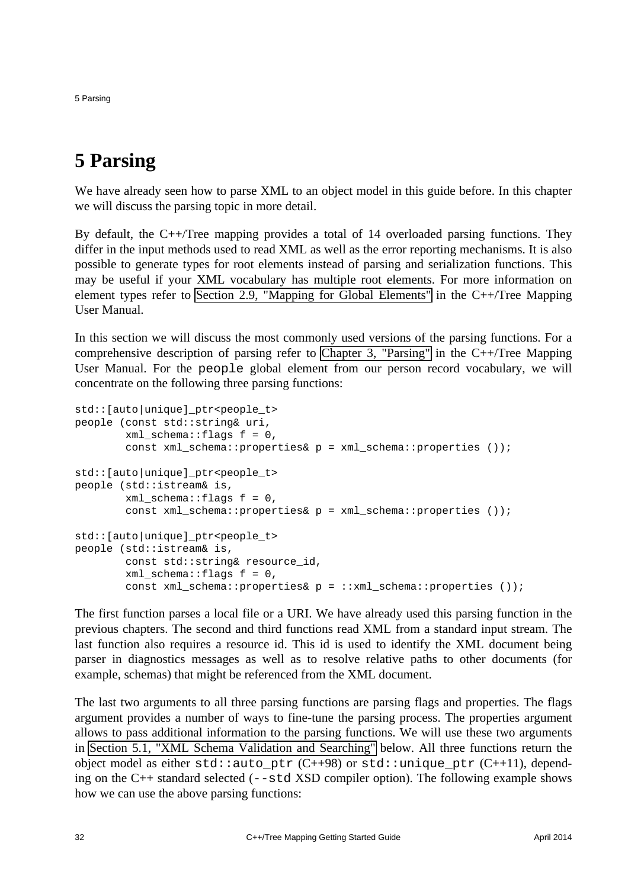5 Parsing

## <span id="page-35-0"></span>**5 Parsing**

We have already seen how to parse XML to an object model in this guide before. In this chapter we will discuss the parsing topic in more detail.

By default, the C++/Tree mapping provides a total of 14 overloaded parsing functions. They differ in the input methods used to read XML as well as the error reporting mechanisms. It is also possible to generate types for root elements instead of parsing and serialization functions. This may be useful if your XML vocabulary has multiple root elements. For more information on element types refer to [Section 2.9, "Mapping for Global Elements"](http://www.codesynthesis.com/projects/xsd/documentation/cxx/tree/manual/#2.9) in the C++/Tree Mapping User Manual.

In this section we will discuss the most commonly used versions of the parsing functions. For a comprehensive description of parsing refer to [Chapter 3, "Parsing"](http://www.codesynthesis.com/projects/xsd/documentation/cxx/tree/manual/#3) in the  $C++/Tree$  Mapping User Manual. For the people global element from our person record vocabulary, we will concentrate on the following three parsing functions:

```
std::[auto|unique]_ptr<people_t>
people (const std::string& uri,
        xml schema::flags f = 0,
         const xml_schema::properties& p = xml_schema::properties ());
std:: [auto|unique] ptr<people t>
people (std::istream& is,
        xml schema::flags f = 0,
        const xml schema::properties& p = xml schema::properties ());
std::[auto|unique]_ptr<people_t>
people (std::istream& is,
        const std:: string& resource id,
        xml schema::flags f = 0,
        const xml schema::properties& p = :: xml schema::properties ());
```
The first function parses a local file or a URI. We have already used this parsing function in the previous chapters. The second and third functions read XML from a standard input stream. The last function also requires a resource id. This id is used to identify the XML document being parser in diagnostics messages as well as to resolve relative paths to other documents (for example, schemas) that might be referenced from the XML document.

The last two arguments to all three parsing functions are parsing flags and properties. The flags argument provides a number of ways to fine-tune the parsing process. The properties argument allows to pass additional information to the parsing functions. We will use these two arguments in [Section 5.1, "XML Schema Validation and Searching"](#page-36-0) below. All three functions return the object model as either  $std: iauto\_ptr (C++98)$  or  $std: iunique\_ptr (C++11)$ , depending on the  $C_{++}$  standard selected ( $-\text{std }$ XSD compiler option). The following example shows how we can use the above parsing functions: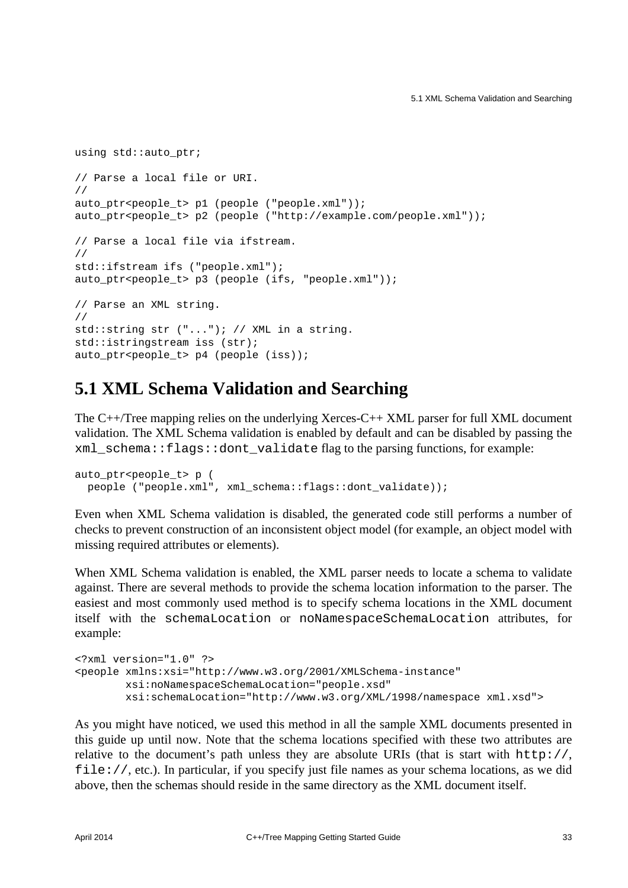```
using std::auto ptr;
// Parse a local file or URI.
//
auto_ptr<people_t> p1 (people ("people.xml"));
auto ptr<people t> p2 (people ("http://example.com/people.xml"));
// Parse a local file via ifstream.
//
std::ifstream ifs ("people.xml");
auto_ptr<people_t> p3 (people (ifs, "people.xml"));
// Parse an XML string.
//
std::string str ("..."); // XML in a string.
std::istringstream iss (str);
auto ptr<people t> p4 (people (iss));
```
#### <span id="page-36-0"></span>**5.1 XML Schema Validation and Searching**

The C++/Tree mapping relies on the underlying Xerces-C++ XML parser for full XML document validation. The XML Schema validation is enabled by default and can be disabled by passing the xml\_schema::flags::dont\_validate flag to the parsing functions, for example:

```
auto ptr<people t> p (
  people ("people.xml", xml_schema::flags::dont_validate));
```
Even when XML Schema validation is disabled, the generated code still performs a number of checks to prevent construction of an inconsistent object model (for example, an object model with missing required attributes or elements).

When XML Schema validation is enabled, the XML parser needs to locate a schema to validate against. There are several methods to provide the schema location information to the parser. The easiest and most commonly used method is to specify schema locations in the XML document itself with the schemaLocation or noNamespaceSchemaLocation attributes, for example:

```
<?xml version="1.0" ?>
<people xmlns:xsi="http://www.w3.org/2001/XMLSchema-instance"
        xsi:noNamespaceSchemaLocation="people.xsd"
        xsi:schemaLocation="http://www.w3.org/XML/1998/namespace xml.xsd">
```
As you might have noticed, we used this method in all the sample XML documents presented in this guide up until now. Note that the schema locations specified with these two attributes are relative to the document's path unless they are absolute URIs (that is start with  $http://$ , file://, etc.). In particular, if you specify just file names as your schema locations, as we did above, then the schemas should reside in the same directory as the XML document itself.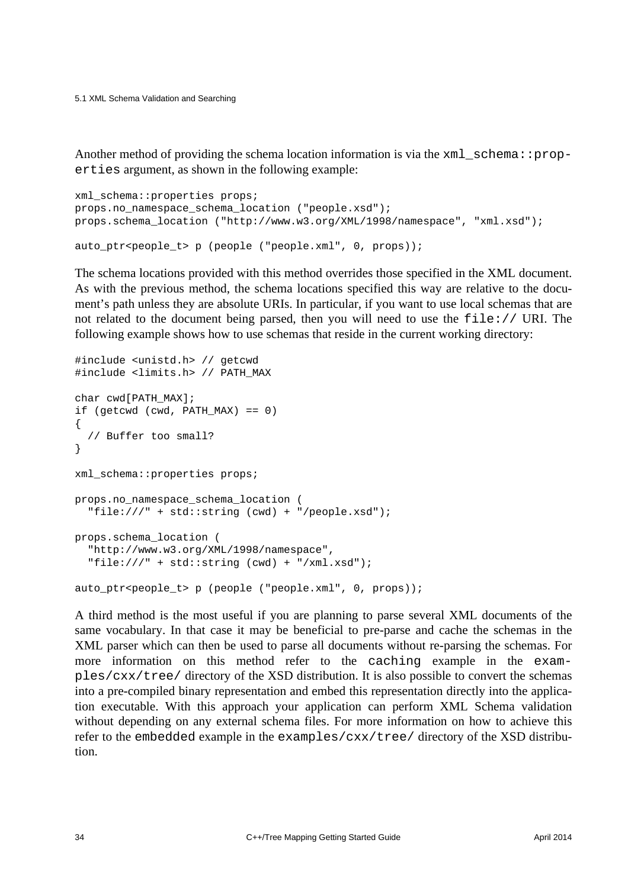5.1 XML Schema Validation and Searching

Another method of providing the schema location information is via the  $xml\_schema: :prop$ erties argument, as shown in the following example:

```
xml_schema::properties props;
props.no_namespace_schema_location ("people.xsd");
props.schema_location ("http://www.w3.org/XML/1998/namespace", "xml.xsd");
auto_ptr<people_t> p (people ("people.xml", 0, props));
```
The schema locations provided with this method overrides those specified in the XML document. As with the previous method, the schema locations specified this way are relative to the document's path unless they are absolute URIs. In particular, if you want to use local schemas that are not related to the document being parsed, then you will need to use the  $file://URI. The$ following example shows how to use schemas that reside in the current working directory:

```
#include <unistd.h> // getcwd
#include <limits.h> // PATH_MAX
char cwd[PATH_MAX];
if (getcwd (cwd, PATH MAX) == 0)
{
   // Buffer too small?
}
xml_schema::properties props;
props.no_namespace_schema_location (
  "file:///" + std::string (cwd) + "/people.xsd");
props.schema_location (
   "http://www.w3.org/XML/1998/namespace",
  "file:///" + std::string (cwd) + "/xml.xsd");
auto_ptr<people_t> p (people ("people.xml", 0, props));
```
A third method is the most useful if you are planning to parse several XML documents of the same vocabulary. In that case it may be beneficial to pre-parse and cache the schemas in the XML parser which can then be used to parse all documents without re-parsing the schemas. For more information on this method refer to the caching example in the examples/cxx/tree/ directory of the XSD distribution. It is also possible to convert the schemas into a pre-compiled binary representation and embed this representation directly into the application executable. With this approach your application can perform XML Schema validation without depending on any external schema files. For more information on how to achieve this refer to the embedded example in the examples/ $cxx/tree/$  directory of the XSD distribution.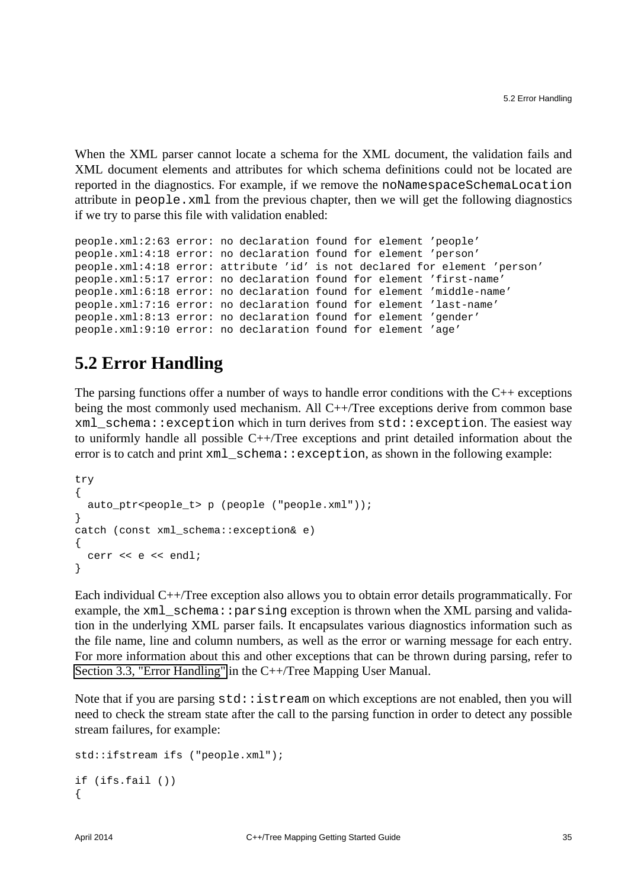When the XML parser cannot locate a schema for the XML document, the validation fails and XML document elements and attributes for which schema definitions could not be located are reported in the diagnostics. For example, if we remove the noNamespaceSchemaLocation attribute in people.xml from the previous chapter, then we will get the following diagnostics if we try to parse this file with validation enabled:

```
people.xml:2:63 error: no declaration found for element 'people'
people.xml:4:18 error: no declaration found for element 'person'
people.xml:4:18 error: attribute 'id' is not declared for element 'person'
people.xml:5:17 error: no declaration found for element 'first-name'
people.xml:6:18 error: no declaration found for element 'middle-name'
people.xml:7:16 error: no declaration found for element 'last-name'
people.xml:8:13 error: no declaration found for element 'gender'
people.xml:9:10 error: no declaration found for element 'age'
```
## <span id="page-38-0"></span>**5.2 Error Handling**

The parsing functions offer a number of ways to handle error conditions with the  $C_{++}$  exceptions being the most commonly used mechanism. All C++/Tree exceptions derive from common base xml\_schema::exception which in turn derives from std::exception. The easiest way to uniformly handle all possible C++/Tree exceptions and print detailed information about the error is to catch and print  $xml$  schema:  $:$ exception, as shown in the following example:

```
try
{
  auto_ptr<people_t> p (people ("people.xml"));
}
catch (const xml_schema::exception& e)
{
 cerr << e << endl;
}
```
Each individual C++/Tree exception also allows you to obtain error details programmatically. For example, the  $xml$  schema:: $parsing$  exception is thrown when the XML parsing and validation in the underlying XML parser fails. It encapsulates various diagnostics information such as the file name, line and column numbers, as well as the error or warning message for each entry. For more information about this and other exceptions that can be thrown during parsing, refer to [Section 3.3, "Error Handling"](http://www.codesynthesis.com/projects/xsd/documentation/cxx/tree/manual/#3.3) in the C++/Tree Mapping User Manual.

Note that if you are parsing  $std::istream$  on which exceptions are not enabled, then you will need to check the stream state after the call to the parsing function in order to detect any possible stream failures, for example:

```
std::ifstream ifs ("people.xml");
if (ifs.fail ())
{
```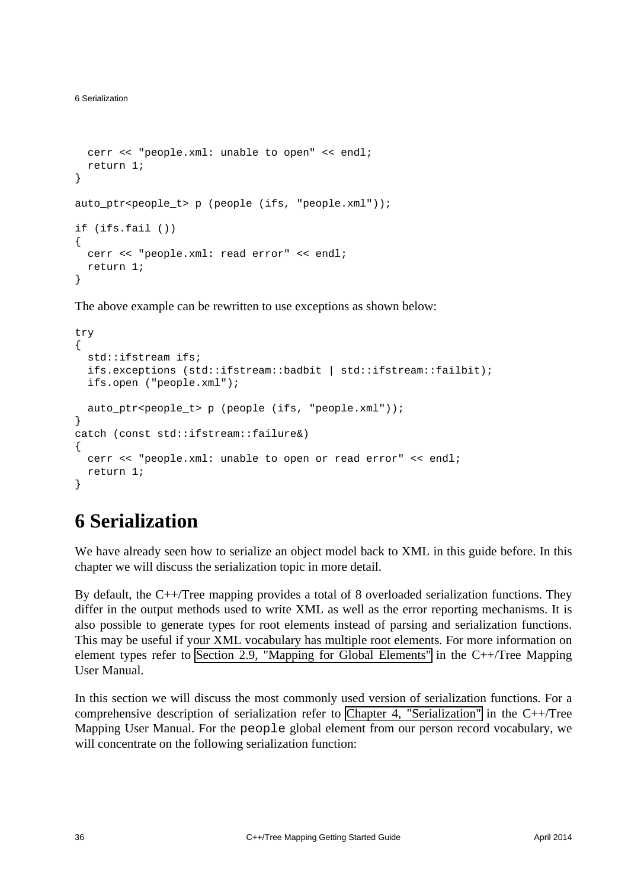```
 cerr << "people.xml: unable to open" << endl;
  return 1;
}
auto_ptr<people_t> p (people (ifs, "people.xml"));
if (ifs.fail ())
{
  cerr << "people.xml: read error" << endl;
  return 1;
}
```
The above example can be rewritten to use exceptions as shown below:

```
try
{
  std::ifstream ifs;
  ifs.exceptions (std::ifstream::badbit | std::ifstream::failbit);
  ifs.open ("people.xml");
  auto_ptr<people_t> p (people (ifs, "people.xml"));
}
catch (const std::ifstream::failure&)
{
  cerr << "people.xml: unable to open or read error" << endl;
  return 1;
}
```
## <span id="page-39-0"></span>**6 Serialization**

We have already seen how to serialize an object model back to XML in this guide before. In this chapter we will discuss the serialization topic in more detail.

By default, the C++/Tree mapping provides a total of 8 overloaded serialization functions. They differ in the output methods used to write XML as well as the error reporting mechanisms. It is also possible to generate types for root elements instead of parsing and serialization functions. This may be useful if your XML vocabulary has multiple root elements. For more information on element types refer to [Section 2.9, "Mapping for Global Elements"](http://www.codesynthesis.com/projects/xsd/documentation/cxx/tree/manual/#2.9) in the C++/Tree Mapping User Manual.

In this section we will discuss the most commonly used version of serialization functions. For a comprehensive description of serialization refer to [Chapter 4, "Serialization"](http://www.codesynthesis.com/projects/xsd/documentation/cxx/tree/manual/#4) in the C++/Tree Mapping User Manual. For the people global element from our person record vocabulary, we will concentrate on the following serialization function: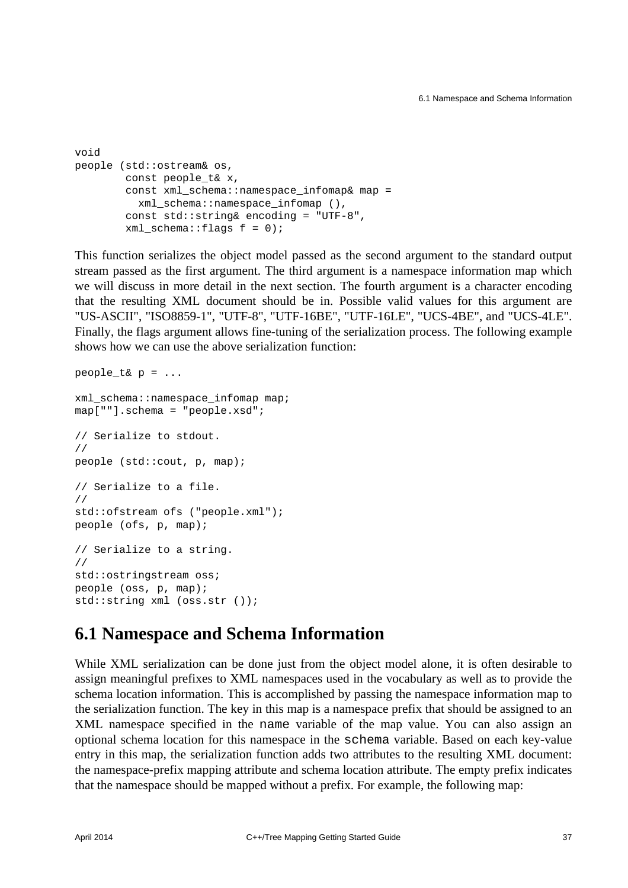```
void
people (std::ostream& os,
        const people_t& x,
        const xml schema::namespace infomap& map =
          xml_schema::namespace_infomap (),
         const std::string& encoding = "UTF-8",
        xml schema::flags f = 0);
```
This function serializes the object model passed as the second argument to the standard output stream passed as the first argument. The third argument is a namespace information map which we will discuss in more detail in the next section. The fourth argument is a character encoding that the resulting XML document should be in. Possible valid values for this argument are "US-ASCII", "ISO8859-1", "UTF-8", "UTF-16BE", "UTF-16LE", "UCS-4BE", and "UCS-4LE". Finally, the flags argument allows fine-tuning of the serialization process. The following example shows how we can use the above serialization function:

```
people t& p = \ldotsxml_schema::namespace_infomap map;
map[""].schema = "people.xsd";
// Serialize to stdout.
//
people (std::cout, p, map);
// Serialize to a file.
//
std::ofstream ofs ("people.xml");
people (ofs, p, map);
// Serialize to a string.
//
std::ostringstream oss;
people (oss, p, map);
std::string xml (oss.str ());
```
#### <span id="page-40-0"></span>**6.1 Namespace and Schema Information**

While XML serialization can be done just from the object model alone, it is often desirable to assign meaningful prefixes to XML namespaces used in the vocabulary as well as to provide the schema location information. This is accomplished by passing the namespace information map to the serialization function. The key in this map is a namespace prefix that should be assigned to an XML namespace specified in the name variable of the map value. You can also assign an optional schema location for this namespace in the schema variable. Based on each key-value entry in this map, the serialization function adds two attributes to the resulting XML document: the namespace-prefix mapping attribute and schema location attribute. The empty prefix indicates that the namespace should be mapped without a prefix. For example, the following map: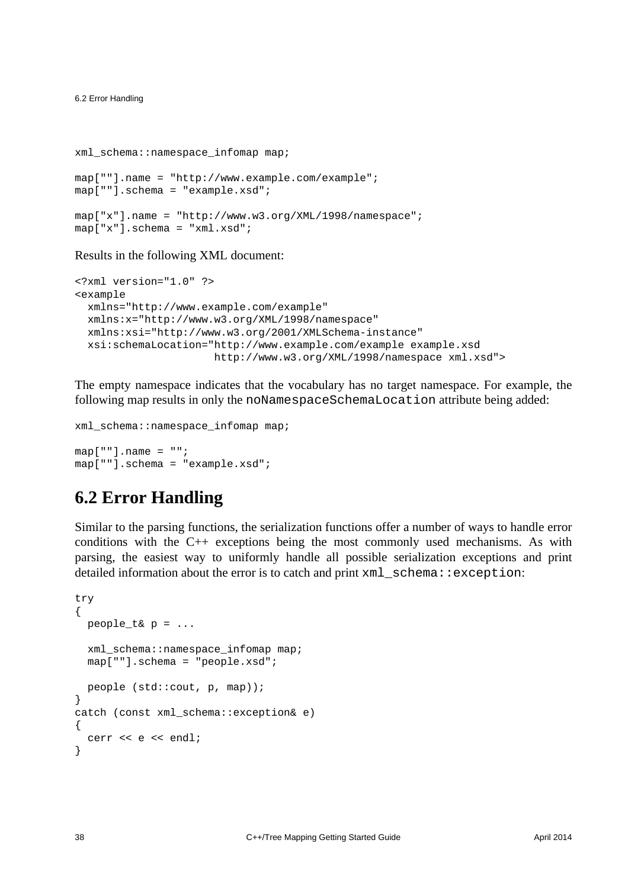6.2 Error Handling

```
xml_schema::namespace_infomap map;
map[""].name = "http://www.example.com/example";
map[""].schema = "example.xsd";
map["x"].name = "http://www.w3.org/XML/1998/namespace";
map["x"].schema = "xml.xsd";
```
#### Results in the following XML document:

```
<?xml version="1.0" ?>
<example
  xmlns="http://www.example.com/example"
  xmlns:x="http://www.w3.org/XML/1998/namespace"
  xmlns:xsi="http://www.w3.org/2001/XMLSchema-instance"
  xsi:schemaLocation="http://www.example.com/example example.xsd
                       http://www.w3.org/XML/1998/namespace xml.xsd">
```
The empty namespace indicates that the vocabulary has no target namespace. For example, the following map results in only the noNamespaceSchemaLocation attribute being added:

```
xml_schema::namespace_infomap map;
```

```
map[ ""].name = "";
map[""].schema = "example.xsd";
```
#### <span id="page-41-0"></span>**6.2 Error Handling**

Similar to the parsing functions, the serialization functions offer a number of ways to handle error conditions with the C++ exceptions being the most commonly used mechanisms. As with parsing, the easiest way to uniformly handle all possible serialization exceptions and print detailed information about the error is to catch and print  $xml$  schema::exception:

```
try
{
 people t& p = \ldots xml_schema::namespace_infomap map;
  map[""].schema = "people.xsd";
  people (std::cout, p, map));
}
catch (const xml_schema::exception& e)
{
  cerr << e << endl;
}
```